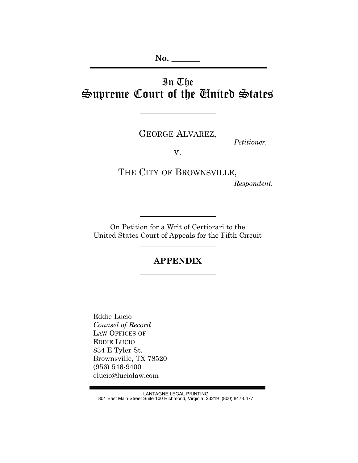**No. \_\_\_\_\_\_\_**

# In The Supreme Court of the United States

GEORGE ALVAREZ, *Petitioner,*

v.

THE CITY OF BROWNSVILLE,  *Respondent.*

On Petition for a Writ of Certiorari to the United States Court of Appeals for the Fifth Circuit

# **APPENDIX**

Eddie Lucio *Counsel of Record* LAW OFFICES OF EDDIE LUCIO 834 E Tyler St. Brownsville, TX 78520 (956) 546-9400 elucio@luciolaw.com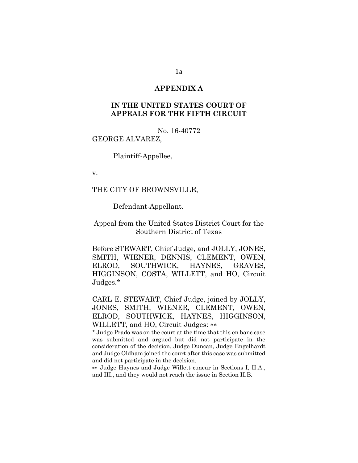#### **APPENDIX A**

### **IN THE UNITED STATES COURT OF APPEALS FOR THE FIFTH CIRCUIT**

No. 16-40772

GEORGE ALVAREZ,

Plaintiff-Appellee,

v.

THE CITY OF BROWNSVILLE,

Defendant-Appellant.

#### Appeal from the United States District Court for the Southern District of Texas

Before STEWART, Chief Judge, and JOLLY, JONES, SMITH, WIENER, DENNIS, CLEMENT, OWEN, ELROD, SOUTHWICK, HAYNES, GRAVES, HIGGINSON, COSTA, WILLETT, and HO, Circuit Judges.\*

CARL E. STEWART, Chief Judge, joined by JOLLY, JONES, SMITH, WIENER, CLEMENT, OWEN, ELROD, SOUTHWICK, HAYNES, HIGGINSON, WILLETT, and HO, Circuit Judges: ∗∗

\* Judge Prado was on the court at the time that this en banc case was submitted and argued but did not participate in the consideration of the decision. Judge Duncan, Judge Engelhardt and Judge Oldham joined the court after this case was submitted and did not participate in the decision.

∗∗ Judge Haynes and Judge Willett concur in Sections I, II.A., and III., and they would not reach the issue in Section II.B.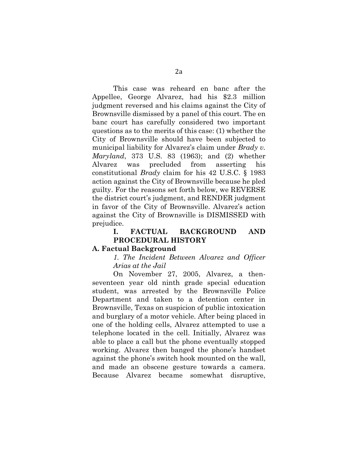This case was reheard en banc after the Appellee, George Alvarez, had his \$2.3 million judgment reversed and his claims against the City of Brownsville dismissed by a panel of this court. The en banc court has carefully considered two important questions as to the merits of this case: (1) whether the City of Brownsville should have been subjected to municipal liability for Alvarez's claim under *Brady v. Maryland*, 373 U.S. 83 (1963); and (2) whether Alvarez was precluded from asserting his constitutional *Brady* claim for his 42 U.S.C. § 1983 action against the City of Brownsville because he pled guilty. For the reasons set forth below, we REVERSE the district court's judgment, and RENDER judgment in favor of the City of Brownsville. Alvarez's action against the City of Brownsville is DISMISSED with prejudice.

## **I. FACTUAL BACKGROUND AND PROCEDURAL HISTORY**

#### **A. Factual Background**

*1. The Incident Between Alvarez and Officer Arias at the Jail* 

On November 27, 2005, Alvarez, a thenseventeen year old ninth grade special education student, was arrested by the Brownsville Police Department and taken to a detention center in Brownsville, Texas on suspicion of public intoxication and burglary of a motor vehicle. After being placed in one of the holding cells, Alvarez attempted to use a telephone located in the cell. Initially, Alvarez was able to place a call but the phone eventually stopped working. Alvarez then banged the phone's handset against the phone's switch hook mounted on the wall, and made an obscene gesture towards a camera. Because Alvarez became somewhat disruptive,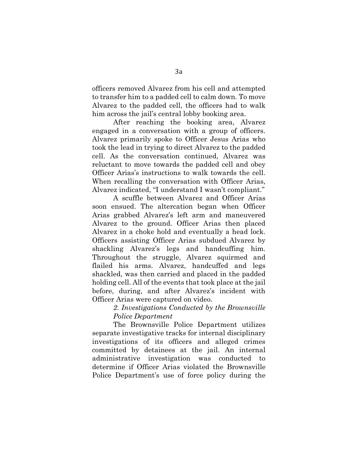officers removed Alvarez from his cell and attempted to transfer him to a padded cell to calm down. To move Alvarez to the padded cell, the officers had to walk him across the jail's central lobby booking area.

After reaching the booking area, Alvarez engaged in a conversation with a group of officers. Alvarez primarily spoke to Officer Jesus Arias who took the lead in trying to direct Alvarez to the padded cell. As the conversation continued, Alvarez was reluctant to move towards the padded cell and obey Officer Arias's instructions to walk towards the cell. When recalling the conversation with Officer Arias, Alvarez indicated, "I understand I wasn't compliant."

A scuffle between Alvarez and Officer Arias soon ensued. The altercation began when Officer Arias grabbed Alvarez's left arm and maneuvered Alvarez to the ground. Officer Arias then placed Alvarez in a choke hold and eventually a head lock. Officers assisting Officer Arias subdued Alvarez by shackling Alvarez's legs and handcuffing him. Throughout the struggle, Alvarez squirmed and flailed his arms. Alvarez, handcuffed and legs shackled, was then carried and placed in the padded holding cell. All of the events that took place at the jail before, during, and after Alvarez's incident with Officer Arias were captured on video.

## *2. Investigations Conducted by the Brownsville Police Department*

The Brownsville Police Department utilizes separate investigative tracks for internal disciplinary investigations of its officers and alleged crimes committed by detainees at the jail. An internal administrative investigation was conducted to determine if Officer Arias violated the Brownsville Police Department's use of force policy during the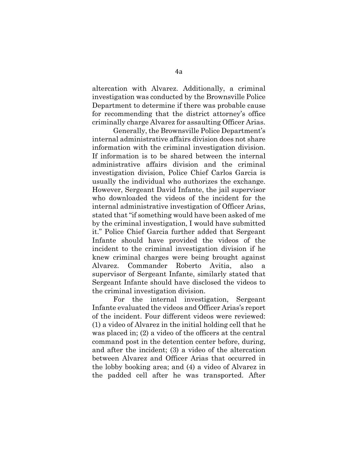altercation with Alvarez. Additionally, a criminal investigation was conducted by the Brownsville Police Department to determine if there was probable cause for recommending that the district attorney's office criminally charge Alvarez for assaulting Officer Arias.

Generally, the Brownsville Police Department's internal administrative affairs division does not share information with the criminal investigation division. If information is to be shared between the internal administrative affairs division and the criminal investigation division, Police Chief Carlos Garcia is usually the individual who authorizes the exchange. However, Sergeant David Infante, the jail supervisor who downloaded the videos of the incident for the internal administrative investigation of Officer Arias, stated that "if something would have been asked of me by the criminal investigation, I would have submitted it." Police Chief Garcia further added that Sergeant Infante should have provided the videos of the incident to the criminal investigation division if he knew criminal charges were being brought against Alvarez. Commander Roberto Avitia, also a supervisor of Sergeant Infante, similarly stated that Sergeant Infante should have disclosed the videos to the criminal investigation division.

For the internal investigation, Sergeant Infante evaluated the videos and Officer Arias's report of the incident. Four different videos were reviewed: (1) a video of Alvarez in the initial holding cell that he was placed in; (2) a video of the officers at the central command post in the detention center before, during, and after the incident; (3) a video of the altercation between Alvarez and Officer Arias that occurred in the lobby booking area; and (4) a video of Alvarez in the padded cell after he was transported. After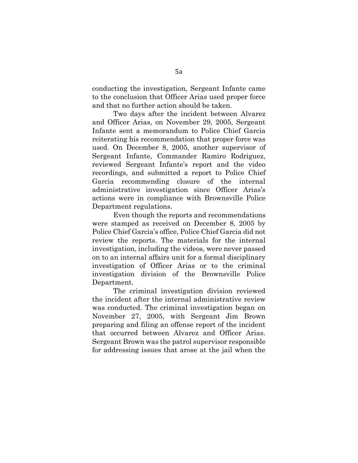conducting the investigation, Sergeant Infante came to the conclusion that Officer Arias used proper force and that no further action should be taken.

Two days after the incident between Alvarez and Officer Arias, on November 29, 2005, Sergeant Infante sent a memorandum to Police Chief Garcia reiterating his recommendation that proper force was used. On December 8, 2005, another supervisor of Sergeant Infante, Commander Ramiro Rodriguez, reviewed Sergeant Infante's report and the video recordings, and submitted a report to Police Chief Garcia recommending closure of the internal administrative investigation since Officer Arias's actions were in compliance with Brownsville Police Department regulations.

Even though the reports and recommendations were stamped as received on December 8, 2005 by Police Chief Garcia's office, Police Chief Garcia did not review the reports. The materials for the internal investigation, including the videos, were never passed on to an internal affairs unit for a formal disciplinary investigation of Officer Arias or to the criminal investigation division of the Brownsville Police Department.

The criminal investigation division reviewed the incident after the internal administrative review was conducted. The criminal investigation began on November 27, 2005, with Sergeant Jim Brown preparing and filing an offense report of the incident that occurred between Alvarez and Officer Arias. Sergeant Brown was the patrol supervisor responsible for addressing issues that arose at the jail when the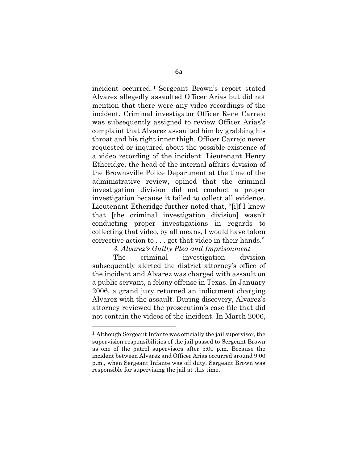incident occurred. <sup>1</sup> Sergeant Brown's report stated Alvarez allegedly assaulted Officer Arias but did not mention that there were any video recordings of the incident. Criminal investigator Officer Rene Carrejo was subsequently assigned to review Officer Arias's complaint that Alvarez assaulted him by grabbing his throat and his right inner thigh. Officer Carrejo never requested or inquired about the possible existence of a video recording of the incident. Lieutenant Henry Etheridge, the head of the internal affairs division of the Brownsville Police Department at the time of the administrative review, opined that the criminal investigation division did not conduct a proper investigation because it failed to collect all evidence. Lieutenant Etheridge further noted that, "[i]f I knew that [the criminal investigation division] wasn't conducting proper investigations in regards to collecting that video, by all means, I would have taken corrective action to . . . get that video in their hands." *3. Alvarez's Guilty Plea and Imprisonment* 

The criminal investigation division subsequently alerted the district attorney's office of the incident and Alvarez was charged with assault on a public servant, a felony offense in Texas. In January 2006, a grand jury returned an indictment charging Alvarez with the assault. During discovery, Alvarez's attorney reviewed the prosecution's case file that did not contain the videos of the incident. In March 2006,

 $\overline{a}$ 

<sup>1</sup> Although Sergeant Infante was officially the jail supervisor, the supervision responsibilities of the jail passed to Sergeant Brown as one of the patrol supervisors after 5:00 p.m. Because the incident between Alvarez and Officer Arias occurred around 9:00 p.m., when Sergeant Infante was off duty, Sergeant Brown was responsible for supervising the jail at this time.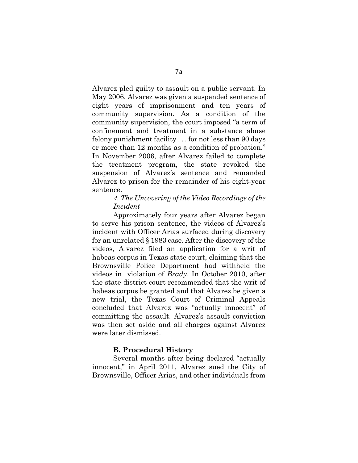Alvarez pled guilty to assault on a public servant. In May 2006, Alvarez was given a suspended sentence of eight years of imprisonment and ten years of community supervision. As a condition of the community supervision, the court imposed "a term of confinement and treatment in a substance abuse felony punishment facility . . . for not less than 90 days or more than 12 months as a condition of probation." In November 2006, after Alvarez failed to complete the treatment program, the state revoked the suspension of Alvarez's sentence and remanded Alvarez to prison for the remainder of his eight-year sentence.

## *4. The Uncovering of the Video Recordings of the Incident*

Approximately four years after Alvarez began to serve his prison sentence, the videos of Alvarez's incident with Officer Arias surfaced during discovery for an unrelated § 1983 case. After the discovery of the videos, Alvarez filed an application for a writ of habeas corpus in Texas state court, claiming that the Brownsville Police Department had withheld the videos in violation of *Brady*. In October 2010, after the state district court recommended that the writ of habeas corpus be granted and that Alvarez be given a new trial, the Texas Court of Criminal Appeals concluded that Alvarez was "actually innocent" of committing the assault. Alvarez's assault conviction was then set aside and all charges against Alvarez were later dismissed.

## **B. Procedural History**

Several months after being declared "actually innocent," in April 2011, Alvarez sued the City of Brownsville, Officer Arias, and other individuals from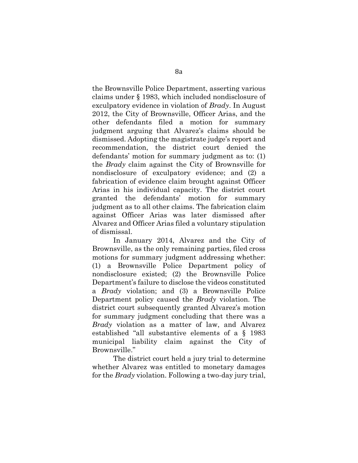the Brownsville Police Department, asserting various claims under § 1983, which included nondisclosure of exculpatory evidence in violation of *Brady*. In August 2012, the City of Brownsville, Officer Arias, and the other defendants filed a motion for summary judgment arguing that Alvarez's claims should be dismissed. Adopting the magistrate judge's report and recommendation, the district court denied the defendants' motion for summary judgment as to: (1) the *Brady* claim against the City of Brownsville for nondisclosure of exculpatory evidence; and (2) a fabrication of evidence claim brought against Officer Arias in his individual capacity. The district court granted the defendants' motion for summary judgment as to all other claims. The fabrication claim against Officer Arias was later dismissed after Alvarez and Officer Arias filed a voluntary stipulation of dismissal.

In January 2014, Alvarez and the City of Brownsville, as the only remaining parties, filed cross motions for summary judgment addressing whether: (1) a Brownsville Police Department policy of nondisclosure existed; (2) the Brownsville Police Department's failure to disclose the videos constituted a *Brady* violation; and (3) a Brownsville Police Department policy caused the *Brady* violation. The district court subsequently granted Alvarez's motion for summary judgment concluding that there was a *Brady* violation as a matter of law, and Alvarez established "all substantive elements of a § 1983 municipal liability claim against the City of Brownsville."

The district court held a jury trial to determine whether Alvarez was entitled to monetary damages for the *Brady* violation. Following a two-day jury trial,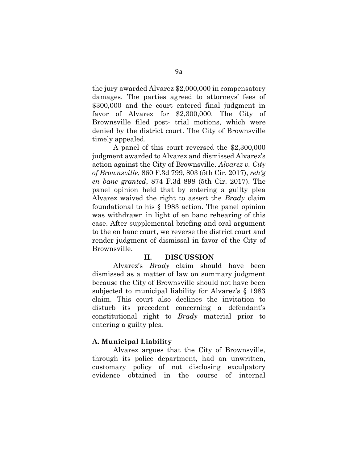the jury awarded Alvarez \$2,000,000 in compensatory damages. The parties agreed to attorneys' fees of \$300,000 and the court entered final judgment in favor of Alvarez for \$2,300,000. The City of Brownsville filed post- trial motions, which were denied by the district court. The City of Brownsville timely appealed.

A panel of this court reversed the \$2,300,000 judgment awarded to Alvarez and dismissed Alvarez's action against the City of Brownsville. *Alvarez v. City of Brownsville*, 860 F.3d 799, 803 (5th Cir. 2017), *reh'g en banc granted*, 874 F.3d 898 (5th Cir. 2017). The panel opinion held that by entering a guilty plea Alvarez waived the right to assert the *Brady* claim foundational to his § 1983 action. The panel opinion was withdrawn in light of en banc rehearing of this case. After supplemental briefing and oral argument to the en banc court, we reverse the district court and render judgment of dismissal in favor of the City of Brownsville.

#### **II. DISCUSSION**

Alvarez's *Brady* claim should have been dismissed as a matter of law on summary judgment because the City of Brownsville should not have been subjected to municipal liability for Alvarez's § 1983 claim. This court also declines the invitation to disturb its precedent concerning a defendant's constitutional right to *Brady* material prior to entering a guilty plea.

#### **A. Municipal Liability**

Alvarez argues that the City of Brownsville, through its police department, had an unwritten, customary policy of not disclosing exculpatory evidence obtained in the course of internal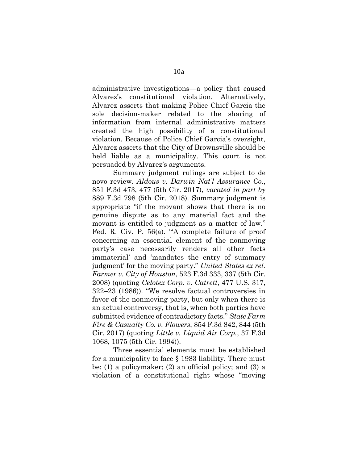administrative investigations—a policy that caused Alvarez's constitutional violation. Alternatively, Alvarez asserts that making Police Chief Garcia the sole decision-maker related to the sharing of information from internal administrative matters created the high possibility of a constitutional violation. Because of Police Chief Garcia's oversight, Alvarez asserts that the City of Brownsville should be held liable as a municipality. This court is not persuaded by Alvarez's arguments.

Summary judgment rulings are subject to de novo review. *Aldous v. Darwin Nat'l Assurance Co.*, 851 F.3d 473, 477 (5th Cir. 2017), *vacated in part by*  889 F.3d 798 (5th Cir. 2018). Summary judgment is appropriate "if the movant shows that there is no genuine dispute as to any material fact and the movant is entitled to judgment as a matter of law." Fed. R. Civ. P. 56(a). "A complete failure of proof concerning an essential element of the nonmoving party's case necessarily renders all other facts immaterial' and 'mandates the entry of summary judgment' for the moving party." *United States ex rel. Farmer v. City of Houston*, 523 F.3d 333, 337 (5th Cir. 2008) (quoting *Celotex Corp. v. Catrett*, 477 U.S. 317, 322–23 (1986)). "We resolve factual controversies in favor of the nonmoving party, but only when there is an actual controversy, that is, when both parties have submitted evidence of contradictory facts." *State Farm Fire & Casualty Co. v. Flowers*, 854 F.3d 842, 844 (5th Cir. 2017) (quoting *Little v. Liquid Air Corp.*, 37 F.3d 1068, 1075 (5th Cir. 1994)).

Three essential elements must be established for a municipality to face § 1983 liability. There must be: (1) a policymaker; (2) an official policy; and (3) a violation of a constitutional right whose "moving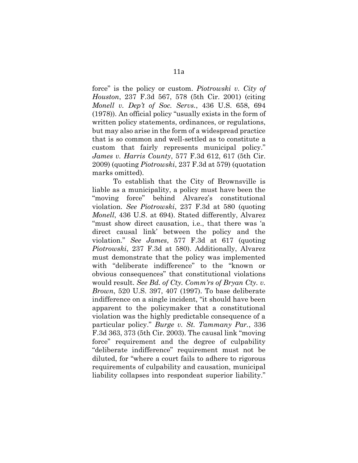force" is the policy or custom. *Piotrowski v. City of Houston*, 237 F.3d 567, 578 (5th Cir. 2001) (citing *Monell v. Dep't of Soc. Servs.*, 436 U.S. 658, 694 (1978)). An official policy "usually exists in the form of written policy statements, ordinances, or regulations, but may also arise in the form of a widespread practice that is so common and well-settled as to constitute a custom that fairly represents municipal policy." *James v. Harris County*, 577 F.3d 612, 617 (5th Cir. 2009) (quoting *Piotrowski*, 237 F.3d at 579) (quotation marks omitted).

To establish that the City of Brownsville is liable as a municipality, a policy must have been the "moving force" behind Alvarez's constitutional violation. *See Piotrowski*, 237 F.3d at 580 (quoting *Monell*, 436 U.S. at 694). Stated differently, Alvarez "must show direct causation, i.e., that there was 'a direct causal link' between the policy and the violation." *See James*, 577 F.3d at 617 (quoting *Piotrowski*, 237 F.3d at 580). Additionally, Alvarez must demonstrate that the policy was implemented with "deliberate indifference" to the "known or obvious consequences" that constitutional violations would result. *See Bd. of Cty. Comm'rs of Bryan Cty. v. Brown*, 520 U.S. 397, 407 (1997). To base deliberate indifference on a single incident, "it should have been apparent to the policymaker that a constitutional violation was the highly predictable consequence of a particular policy." *Burge v. St. Tammany Par.*, 336 F.3d 363, 373 (5th Cir. 2003). The causal link "moving force" requirement and the degree of culpability "deliberate indifference" requirement must not be diluted, for "where a court fails to adhere to rigorous requirements of culpability and causation, municipal liability collapses into respondeat superior liability."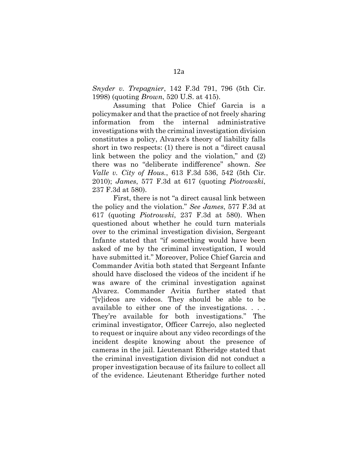*Snyder v. Trepagnier*, 142 F.3d 791, 796 (5th Cir. 1998) (quoting *Brown*, 520 U.S. at 415).

Assuming that Police Chief Garcia is a policymaker and that the practice of not freely sharing information from the internal administrative investigations with the criminal investigation division constitutes a policy, Alvarez's theory of liability falls short in two respects: (1) there is not a "direct causal link between the policy and the violation," and (2) there was no "deliberate indifference" shown. *See Valle v. City of Hous.*, 613 F.3d 536, 542 (5th Cir. 2010); *James*, 577 F.3d at 617 (quoting *Piotrowski*, 237 F.3d at 580).

First, there is not "a direct causal link between the policy and the violation." *See James*, 577 F.3d at 617 (quoting *Piotrowski*, 237 F.3d at 580). When questioned about whether he could turn materials over to the criminal investigation division, Sergeant Infante stated that "if something would have been asked of me by the criminal investigation, I would have submitted it." Moreover, Police Chief Garcia and Commander Avitia both stated that Sergeant Infante should have disclosed the videos of the incident if he was aware of the criminal investigation against Alvarez. Commander Avitia further stated that "[v]ideos are videos. They should be able to be available to either one of the investigations. . . . They're available for both investigations." The criminal investigator, Officer Carrejo, also neglected to request or inquire about any video recordings of the incident despite knowing about the presence of cameras in the jail. Lieutenant Etheridge stated that the criminal investigation division did not conduct a proper investigation because of its failure to collect all of the evidence. Lieutenant Etheridge further noted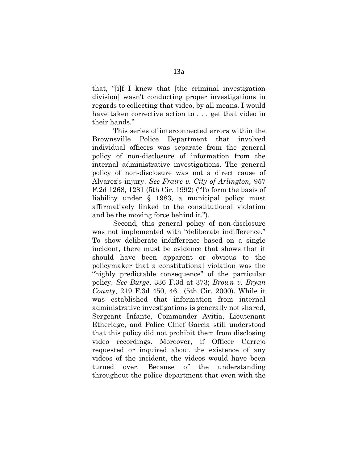that, "[i]f I knew that [the criminal investigation division] wasn't conducting proper investigations in regards to collecting that video, by all means, I would have taken corrective action to . . . get that video in their hands."

This series of interconnected errors within the Brownsville Police Department that involved individual officers was separate from the general policy of non-disclosure of information from the internal administrative investigations. The general policy of non-disclosure was not a direct cause of Alvarez's injury. *See Fraire v. City of Arlington,* 957 F.2d 1268, 1281 (5th Cir. 1992) ("To form the basis of liability under § 1983, a municipal policy must affirmatively linked to the constitutional violation and be the moving force behind it.").

Second, this general policy of non-disclosure was not implemented with "deliberate indifference." To show deliberate indifference based on a single incident, there must be evidence that shows that it should have been apparent or obvious to the policymaker that a constitutional violation was the "highly predictable consequence" of the particular policy. *See Burge*, 336 F.3d at 373; *Brown v. Bryan County*, 219 F.3d 450, 461 (5th Cir. 2000). While it was established that information from internal administrative investigations is generally not shared, Sergeant Infante, Commander Avitia, Lieutenant Etheridge, and Police Chief Garcia still understood that this policy did not prohibit them from disclosing video recordings. Moreover, if Officer Carrejo requested or inquired about the existence of any videos of the incident, the videos would have been turned over. Because of the understanding throughout the police department that even with the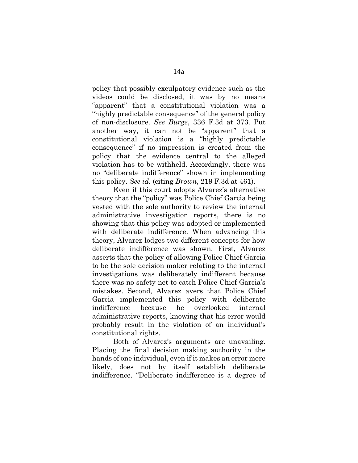policy that possibly exculpatory evidence such as the videos could be disclosed, it was by no means "apparent" that a constitutional violation was a "highly predictable consequence" of the general policy of non-disclosure. *See Burge*, 336 F.3d at 373. Put another way, it can not be "apparent" that a constitutional violation is a "highly predictable consequence" if no impression is created from the policy that the evidence central to the alleged violation has to be withheld. Accordingly, there was no "deliberate indifference" shown in implementing this policy. *See id.* (citing *Brown*, 219 F.3d at 461).

Even if this court adopts Alvarez's alternative theory that the "policy" was Police Chief Garcia being vested with the sole authority to review the internal administrative investigation reports, there is no showing that this policy was adopted or implemented with deliberate indifference. When advancing this theory, Alvarez lodges two different concepts for how deliberate indifference was shown. First, Alvarez asserts that the policy of allowing Police Chief Garcia to be the sole decision maker relating to the internal investigations was deliberately indifferent because there was no safety net to catch Police Chief Garcia's mistakes. Second, Alvarez avers that Police Chief Garcia implemented this policy with deliberate indifference because he overlooked internal administrative reports, knowing that his error would probably result in the violation of an individual's constitutional rights.

Both of Alvarez's arguments are unavailing. Placing the final decision making authority in the hands of one individual, even if it makes an error more likely, does not by itself establish deliberate indifference. "Deliberate indifference is a degree of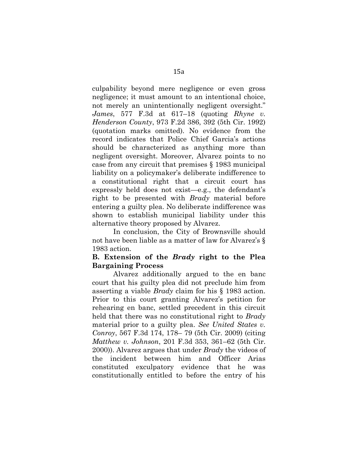culpability beyond mere negligence or even gross negligence; it must amount to an intentional choice, not merely an unintentionally negligent oversight." *James*, 577 F.3d at 617–18 (quoting *Rhyne v. Henderson County*, 973 F.2d 386, 392 (5th Cir. 1992) (quotation marks omitted). No evidence from the record indicates that Police Chief Garcia's actions should be characterized as anything more than negligent oversight. Moreover, Alvarez points to no case from any circuit that premises § 1983 municipal liability on a policymaker's deliberate indifference to a constitutional right that a circuit court has expressly held does not exist—e.g., the defendant's right to be presented with *Brady* material before entering a guilty plea. No deliberate indifference was shown to establish municipal liability under this alternative theory proposed by Alvarez.

In conclusion, the City of Brownsville should not have been liable as a matter of law for Alvarez's § 1983 action.

## **B. Extension of the** *Brady* **right to the Plea Bargaining Process**

Alvarez additionally argued to the en banc court that his guilty plea did not preclude him from asserting a viable *Brady* claim for his § 1983 action. Prior to this court granting Alvarez's petition for rehearing en banc, settled precedent in this circuit held that there was no constitutional right to *Brady*  material prior to a guilty plea. *See United States v. Conroy*, 567 F.3d 174, 178– 79 (5th Cir. 2009) (citing *Matthew v. Johnson*, 201 F.3d 353, 361–62 (5th Cir. 2000)). Alvarez argues that under *Brady* the videos of the incident between him and Officer Arias constituted exculpatory evidence that he was constitutionally entitled to before the entry of his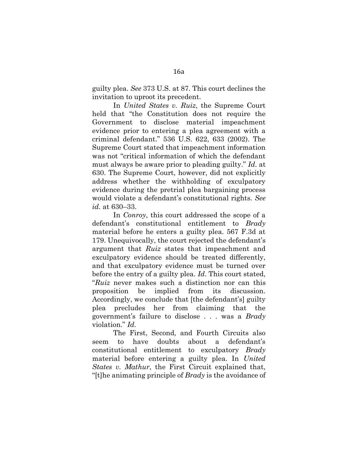guilty plea. *See* 373 U.S. at 87. This court declines the invitation to uproot its precedent.

In *United States v. Ruiz*, the Supreme Court held that "the Constitution does not require the Government to disclose material impeachment evidence prior to entering a plea agreement with a criminal defendant." 536 U.S. 622, 633 (2002). The Supreme Court stated that impeachment information was not "critical information of which the defendant must always be aware prior to pleading guilty." *Id*. at 630. The Supreme Court, however, did not explicitly address whether the withholding of exculpatory evidence during the pretrial plea bargaining process would violate a defendant's constitutional rights. *See id.* at 630–33.

In *Conroy*, this court addressed the scope of a defendant's constitutional entitlement to *Brady*  material before he enters a guilty plea. 567 F.3d at 179. Unequivocally, the court rejected the defendant's argument that *Ruiz* states that impeachment and exculpatory evidence should be treated differently, and that exculpatory evidence must be turned over before the entry of a guilty plea. *Id*. This court stated, "*Ruiz* never makes such a distinction nor can this proposition be implied from its discussion. Accordingly, we conclude that [the defendant's] guilty plea precludes her from claiming that the government's failure to disclose . . . was a *Brady*  violation." *Id.*

The First, Second, and Fourth Circuits also seem to have doubts about a defendant's constitutional entitlement to exculpatory *Brady*  material before entering a guilty plea. In *United States v. Mathur*, the First Circuit explained that, "[t]he animating principle of *Brady* is the avoidance of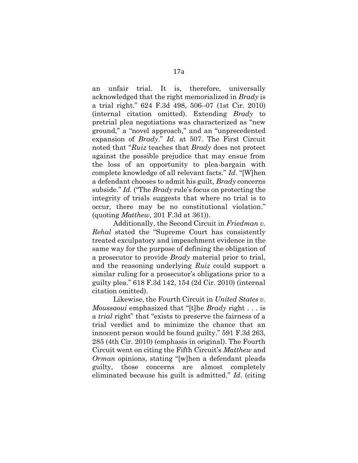an unfair trial. It is, therefore, universally acknowledged that the right memorialized in *Brady* is a trial right." 624 F.3d 498, 506–07 (1st Cir. 2010) (internal citation omitted). Extending *Brady* to pretrial plea negotiations was characterized as "new ground," a "novel approach," and an "unprecedented expansion of *Brady*." *Id.* at 507. The First Circuit noted that "*Ruiz* teaches that *Brady* does not protect against the possible prejudice that may ensue from the loss of an opportunity to plea-bargain with complete knowledge of all relevant facts." *Id*. "[W]hen a defendant chooses to admit his guilt, *Brady* concerns subside." *Id.* ("The *Brady* rule's focus on protecting the integrity of trials suggests that where no trial is to occur, there may be no constitutional violation." (quoting *Matthew*, 201 F.3d at 361)).

Additionally, the Second Circuit in *Friedman v. Rehal* stated the "Supreme Court has consistently treated exculpatory and impeachment evidence in the same way for the purpose of defining the obligation of a prosecutor to provide *Brady* material prior to trial, and the reasoning underlying *Ruiz* could support a similar ruling for a prosecutor's obligations prior to a guilty plea." 618 F.3d 142, 154 (2d Cir. 2010) (internal citation omitted).

Likewise, the Fourth Circuit in *United States v. Moussaoui* emphasized that "[t]he *Brady* right . . . is a *trial* right" that "exists to preserve the fairness of a trial verdict and to minimize the chance that an innocent person would be found guilty." 591 F.3d 263, 285 (4th Cir. 2010) (emphasis in original). The Fourth Circuit went on citing the Fifth Circuit's *Matthew* and *Orman* opinions, stating "[w]hen a defendant pleads guilty, those concerns are almost completely eliminated because his guilt is admitted." *Id*. (citing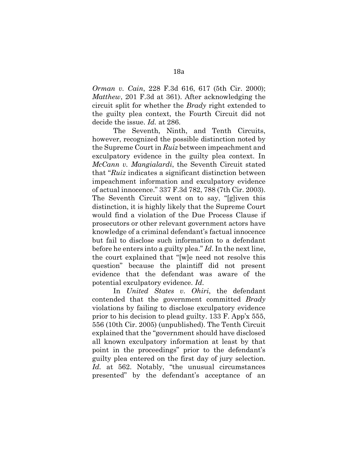*Orman v. Cain*, 228 F.3d 616, 617 (5th Cir. 2000); *Matthew*, 201 F.3d at 361). After acknowledging the circuit split for whether the *Brady* right extended to the guilty plea context, the Fourth Circuit did not decide the issue. *Id.* at 286.

The Seventh, Ninth, and Tenth Circuits, however, recognized the possible distinction noted by the Supreme Court in *Ruiz* between impeachment and exculpatory evidence in the guilty plea context. In *McCann v. Mangialardi*, the Seventh Circuit stated that "*Ruiz* indicates a significant distinction between impeachment information and exculpatory evidence of actual innocence." 337 F.3d 782, 788 (7th Cir. 2003). The Seventh Circuit went on to say, "[g]iven this distinction, it is highly likely that the Supreme Court would find a violation of the Due Process Clause if prosecutors or other relevant government actors have knowledge of a criminal defendant's factual innocence but fail to disclose such information to a defendant before he enters into a guilty plea." *Id*. In the next line, the court explained that "[w]e need not resolve this question" because the plaintiff did not present evidence that the defendant was aware of the potential exculpatory evidence. *Id*.

In *United States v. Ohiri*, the defendant contended that the government committed *Brady*  violations by failing to disclose exculpatory evidence prior to his decision to plead guilty. 133 F. App'x 555, 556 (10th Cir. 2005) (unpublished). The Tenth Circuit explained that the "government should have disclosed all known exculpatory information at least by that point in the proceedings" prior to the defendant's guilty plea entered on the first day of jury selection. *Id.* at 562. Notably, "the unusual circumstances presented" by the defendant's acceptance of an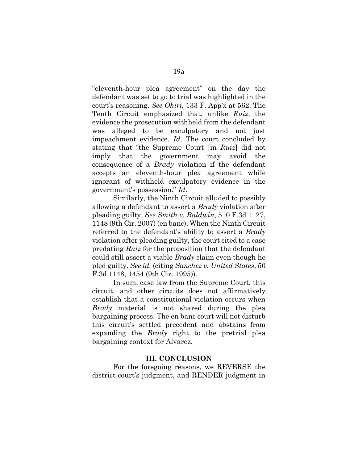"eleventh-hour plea agreement" on the day the defendant was set to go to trial was highlighted in the court's reasoning. *See Ohiri*, 133 F. App'x at 562. The Tenth Circuit emphasized that, unlike *Ruiz*, the evidence the prosecution withheld from the defendant was alleged to be exculpatory and not just impeachment evidence. *Id*. The court concluded by stating that "the Supreme Court [in *Ruiz*] did not imply that the government may avoid the consequence of a *Brady* violation if the defendant accepts an eleventh-hour plea agreement while ignorant of withheld exculpatory evidence in the government's possession." *Id*.

Similarly, the Ninth Circuit alluded to possibly allowing a defendant to assert a *Brady* violation after pleading guilty. *See Smith v. Baldwin*, 510 F.3d 1127, 1148 (9th Cir. 2007) (en banc). When the Ninth Circuit referred to the defendant's ability to assert a *Brady*  violation after pleading guilty, the court cited to a case predating *Ruiz* for the proposition that the defendant could still assert a viable *Brady* claim even though he pled guilty. *See id.* (citing *Sanchez v. United States*, 50 F.3d 1148, 1454 (9th Cir. 1995)).

In sum, case law from the Supreme Court, this circuit, and other circuits does not affirmatively establish that a constitutional violation occurs when *Brady* material is not shared during the plea bargaining process. The en banc court will not disturb this circuit's settled precedent and abstains from expanding the *Brady* right to the pretrial plea bargaining context for Alvarez.

#### **III. CONCLUSION**

For the foregoing reasons, we REVERSE the district court's judgment, and RENDER judgment in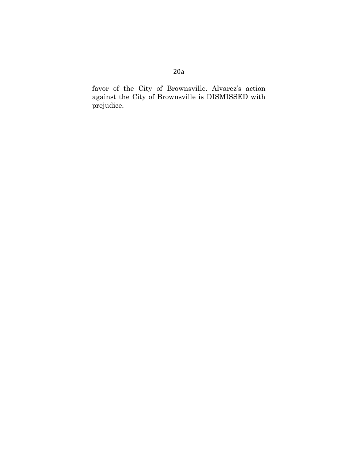favor of the City of Brownsville. Alvarez's action against the City of Brownsville is DISMISSED with prejudice.

# 20a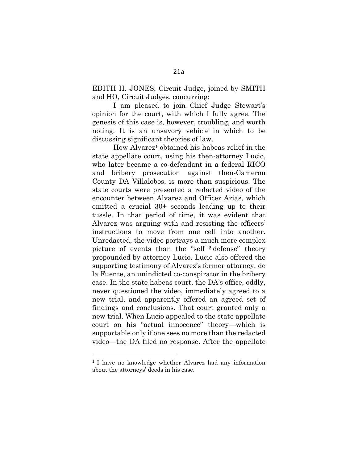EDITH H. JONES, Circuit Judge, joined by SMITH and HO, Circuit Judges, concurring:

I am pleased to join Chief Judge Stewart's opinion for the court, with which I fully agree. The genesis of this case is, however, troubling, and worth noting. It is an unsavory vehicle in which to be discussing significant theories of law.

How Alvarez<sup>1</sup> obtained his habeas relief in the state appellate court, using his then-attorney Lucio, who later became a co-defendant in a federal RICO and bribery prosecution against then-Cameron County DA Villalobos, is more than suspicious. The state courts were presented a redacted video of the encounter between Alvarez and Officer Arias, which omitted a crucial 30+ seconds leading up to their tussle. In that period of time, it was evident that Alvarez was arguing with and resisting the officers' instructions to move from one cell into another. Unredacted, the video portrays a much more complex picture of events than the "self <sup>2</sup> defense" theory propounded by attorney Lucio. Lucio also offered the supporting testimony of Alvarez's former attorney, de la Fuente, an unindicted co-conspirator in the bribery case. In the state habeas court, the DA's office, oddly, never questioned the video, immediately agreed to a new trial, and apparently offered an agreed set of findings and conclusions. That court granted only a new trial. When Lucio appealed to the state appellate court on his "actual innocence" theory—which is supportable only if one sees no more than the redacted video—the DA filed no response. After the appellate

 $\overline{a}$ 

<sup>1</sup> I have no knowledge whether Alvarez had any information about the attorneys' deeds in his case.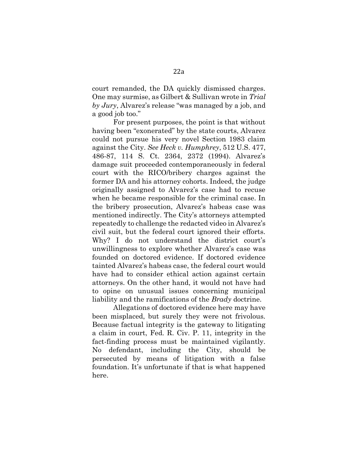court remanded, the DA quickly dismissed charges. One may surmise, as Gilbert & Sullivan wrote in *Trial by Jury*, Alvarez's release "was managed by a job, and a good job too."

For present purposes, the point is that without having been "exonerated" by the state courts, Alvarez could not pursue his very novel Section 1983 claim against the City. *See Heck v. Humphrey*, 512 U.S. 477, 486-87, 114 S. Ct. 2364, 2372 (1994). Alvarez's damage suit proceeded contemporaneously in federal court with the RICO/bribery charges against the former DA and his attorney cohorts. Indeed, the judge originally assigned to Alvarez's case had to recuse when he became responsible for the criminal case. In the bribery prosecution, Alvarez's habeas case was mentioned indirectly. The City's attorneys attempted repeatedly to challenge the redacted video in Alvarez's civil suit, but the federal court ignored their efforts. Why? I do not understand the district court's unwillingness to explore whether Alvarez's case was founded on doctored evidence. If doctored evidence tainted Alvarez's habeas case, the federal court would have had to consider ethical action against certain attorneys. On the other hand, it would not have had to opine on unusual issues concerning municipal liability and the ramifications of the *Brady* doctrine.

Allegations of doctored evidence here may have been misplaced, but surely they were not frivolous. Because factual integrity is the gateway to litigating a claim in court, Fed. R. Civ. P. 11, integrity in the fact-finding process must be maintained vigilantly. No defendant, including the City, should be persecuted by means of litigation with a false foundation. It's unfortunate if that is what happened here.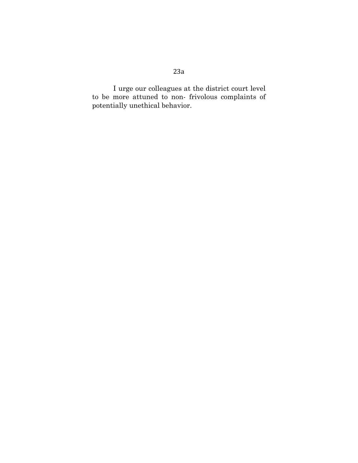# I urge our colleagues at the district court level to be more attuned to non- frivolous complaints of potentially unethical behavior.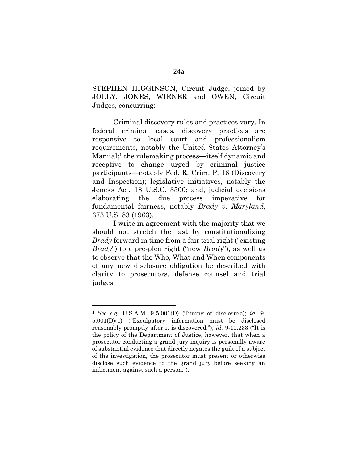STEPHEN HIGGINSON, Circuit Judge, joined by JOLLY, JONES, WIENER and OWEN, Circuit Judges, concurring:

Criminal discovery rules and practices vary. In federal criminal cases, discovery practices are responsive to local court and professionalism requirements, notably the United States Attorney's Manual; <sup>1</sup> the rulemaking process—itself dynamic and receptive to change urged by criminal justice participants—notably Fed. R. Crim. P. 16 (Discovery and Inspection); legislative initiatives, notably the Jencks Act, 18 U.S.C. 3500; and, judicial decisions elaborating the due process imperative for fundamental fairness, notably *Brady v. Maryland*, 373 U.S. 83 (1963).

I write in agreement with the majority that we should not stretch the last by constitutionalizing *Brady* forward in time from a fair trial right ("existing *Brady*") to a pre-plea right ("new *Brady*"), as well as to observe that the Who, What and When components of any new disclosure obligation be described with clarity to prosecutors, defense counsel and trial judges.

 $\overline{a}$ 

<sup>1</sup> *See e.g.* U.S.A.M. 9-5.001(D) (Timing of disclosure); *id.* 9- 5.001(D)(1) ("Exculpatory information must be disclosed reasonably promptly after it is discovered."); *id.* 9-11.233 ("It is the policy of the Department of Justice, however, that when a prosecutor conducting a grand jury inquiry is personally aware of substantial evidence that directly negates the guilt of a subject of the investigation, the prosecutor must present or otherwise disclose such evidence to the grand jury before seeking an indictment against such a person.").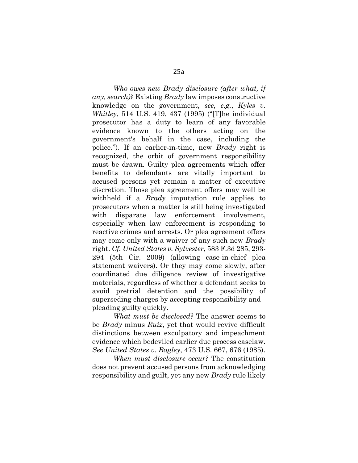*Who owes new Brady disclosure (after what, if any, search)?* Existing *Brady* law imposes constructive knowledge on the government, *see, e.g.*, *Kyles v. Whitley*, 514 U.S. 419, 437 (1995) ("[T]he individual prosecutor has a duty to learn of any favorable evidence known to the others acting on the government's behalf in the case, including the police."). If an earlier-in-time, new *Brady* right is recognized, the orbit of government responsibility must be drawn. Guilty plea agreements which offer benefits to defendants are vitally important to accused persons yet remain a matter of executive discretion. Those plea agreement offers may well be withheld if a *Brady* imputation rule applies to prosecutors when a matter is still being investigated with disparate law enforcement involvement, especially when law enforcement is responding to reactive crimes and arrests. Or plea agreement offers may come only with a waiver of any such new *Brady*  right. *Cf. United States v. Sylvester*, 583 F.3d 285, 293- 294 (5th Cir. 2009) (allowing case-in-chief plea statement waivers). Or they may come slowly, after coordinated due diligence review of investigative materials, regardless of whether a defendant seeks to avoid pretrial detention and the possibility of superseding charges by accepting responsibility and pleading guilty quickly.

*What must be disclosed?* The answer seems to be *Brady* minus *Ruiz*, yet that would revive difficult distinctions between exculpatory and impeachment evidence which bedeviled earlier due process caselaw. *See United States v. Bagley*, 473 U.S. 667, 676 (1985).

*When must disclosure occur?* The constitution does not prevent accused persons from acknowledging responsibility and guilt, yet any new *Brady* rule likely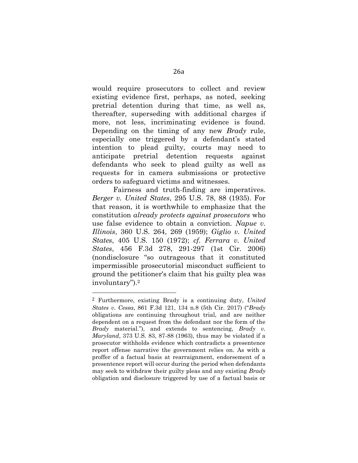would require prosecutors to collect and review existing evidence first, perhaps, as noted, seeking pretrial detention during that time, as well as, thereafter, superseding with additional charges if more, not less, incriminating evidence is found. Depending on the timing of any new *Brady* rule, especially one triggered by a defendant's stated intention to plead guilty, courts may need to anticipate pretrial detention requests against defendants who seek to plead guilty as well as requests for in camera submissions or protective orders to safeguard victims and witnesses.

Fairness and truth-finding are imperatives. *Berger v. United States*, 295 U.S. 78, 88 (1935). For that reason, it is worthwhile to emphasize that the constitution *already protects against prosecutors* who use false evidence to obtain a conviction. *Napue v. Illinois*, 360 U.S. 264, 269 (1959); *Giglio v. United States*, 405 U.S. 150 (1972); *cf. Ferrara v. United States*, 456 F.3d 278, 291-297 (1st Cir. 2006) (nondisclosure "so outrageous that it constituted impermissible prosecutorial misconduct sufficient to ground the petitioner's claim that his guilty plea was involuntary").<sup>2</sup>

 $\overline{a}$ 

<sup>2</sup> Furthermore, existing Brady is a continuing duty, *United States v. Cessa*, 861 F.3d 121, 134 n.8 (5th Cir. 2017) ("*Brady*  obligations are continuing throughout trial, and are neither dependent on a request from the defendant nor the form of the *Brady* material."), and extends to sentencing, *Brady v. Maryland*, 373 U.S. 83, 87-88 (1963), thus may be violated if a prosecutor withholds evidence which contradicts a presentence report offense narrative the government relies on. As with a proffer of a factual basis at rearraignment, endorsement of a presentence report will occur during the period when defendants may seek to withdraw their guilty pleas and any existing *Brady*  obligation and disclosure triggered by use of a factual basis or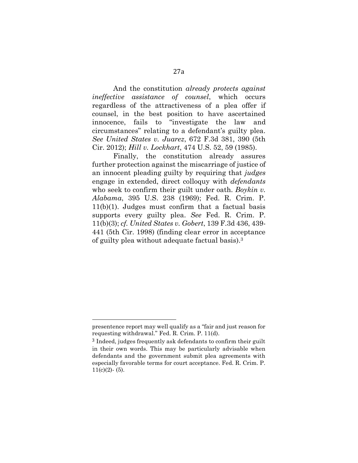And the constitution *already protects against ineffective assistance of counsel*, which occurs regardless of the attractiveness of a plea offer if counsel, in the best position to have ascertained innocence, fails to "investigate the law and circumstances" relating to a defendant's guilty plea. *See United States v. Juarez*, 672 F.3d 381, 390 (5th Cir. 2012); *Hill v. Lockhart*, 474 U.S. 52, 59 (1985).

Finally, the constitution already assures further protection against the miscarriage of justice of an innocent pleading guilty by requiring that *judges*  engage in extended, direct colloquy with *defendants*  who seek to confirm their guilt under oath. *Boykin v. Alabama*, 395 U.S. 238 (1969); Fed. R. Crim. P. 11(b)(1). Judges must confirm that a factual basis supports every guilty plea. *See* Fed. R. Crim. P. 11(b)(3); *cf. United States v. Gobert*, 139 F.3d 436, 439- 441 (5th Cir. 1998) (finding clear error in acceptance of guilty plea without adequate factual basis).<sup>3</sup>

 $\overline{a}$ 

presentence report may well qualify as a "fair and just reason for requesting withdrawal." Fed. R. Crim. P. 11(d).

<sup>3</sup> Indeed, judges frequently ask defendants to confirm their guilt in their own words. This may be particularly advisable when defendants and the government submit plea agreements with especially favorable terms for court acceptance. Fed. R. Crim. P.  $11(c)(2)$ - (5).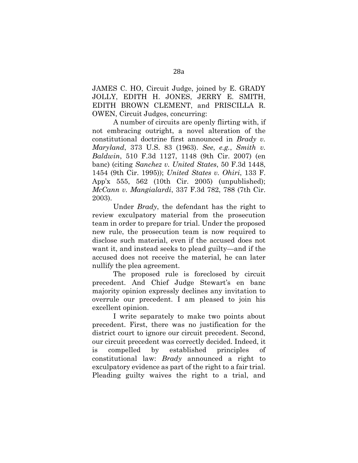JAMES C. HO, Circuit Judge, joined by E. GRADY JOLLY, EDITH H. JONES, JERRY E. SMITH, EDITH BROWN CLEMENT, and PRISCILLA R. OWEN, Circuit Judges, concurring:

A number of circuits are openly flirting with, if not embracing outright, a novel alteration of the constitutional doctrine first announced in *Brady v. Maryland*, 373 U.S. 83 (1963). *See*, *e.g.*, *Smith v. Baldwin*, 510 F.3d 1127, 1148 (9th Cir. 2007) (en banc) (citing *Sanchez v. United States*, 50 F.3d 1448, 1454 (9th Cir. 1995)); *United States v. Ohiri*, 133 F. App'x 555, 562 (10th Cir. 2005) (unpublished); *McCann v. Mangialardi*, 337 F.3d 782, 788 (7th Cir. 2003).

Under *Brady*, the defendant has the right to review exculpatory material from the prosecution team in order to prepare for trial. Under the proposed new rule, the prosecution team is now required to disclose such material, even if the accused does not want it, and instead seeks to plead guilty—and if the accused does not receive the material, he can later nullify the plea agreement.

The proposed rule is foreclosed by circuit precedent. And Chief Judge Stewart's en banc majority opinion expressly declines any invitation to overrule our precedent. I am pleased to join his excellent opinion.

I write separately to make two points about precedent. First, there was no justification for the district court to ignore our circuit precedent. Second, our circuit precedent was correctly decided. Indeed, it is compelled by established principles of constitutional law: *Brady* announced a right to exculpatory evidence as part of the right to a fair trial. Pleading guilty waives the right to a trial, and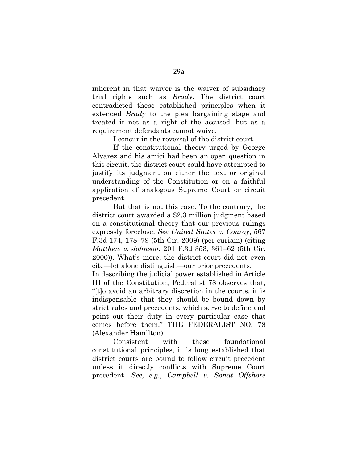inherent in that waiver is the waiver of subsidiary trial rights such as *Brady*. The district court contradicted these established principles when it extended *Brady* to the plea bargaining stage and treated it not as a right of the accused, but as a requirement defendants cannot waive.

I concur in the reversal of the district court.

If the constitutional theory urged by George Alvarez and his amici had been an open question in this circuit, the district court could have attempted to justify its judgment on either the text or original understanding of the Constitution or on a faithful application of analogous Supreme Court or circuit precedent.

But that is not this case. To the contrary, the district court awarded a \$2.3 million judgment based on a constitutional theory that our previous rulings expressly foreclose. *See United States v. Conroy*, 567 F.3d 174, 178–79 (5th Cir. 2009) (per curiam) (citing *Matthew v. Johnson*, 201 F.3d 353, 361–62 (5th Cir. 2000)). What's more, the district court did not even cite—let alone distinguish—our prior precedents.

In describing the judicial power established in Article III of the Constitution, Federalist 78 observes that, "[t]o avoid an arbitrary discretion in the courts, it is indispensable that they should be bound down by strict rules and precedents, which serve to define and point out their duty in every particular case that comes before them." THE FEDERALIST NO. 78 (Alexander Hamilton).

Consistent with these foundational constitutional principles, it is long established that district courts are bound to follow circuit precedent unless it directly conflicts with Supreme Court precedent. *See*, *e.g.*, *Campbell v. Sonat Offshore*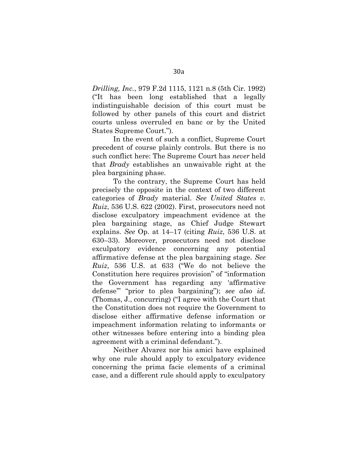*Drilling, Inc.*, 979 F.2d 1115, 1121 n.8 (5th Cir. 1992) ("It has been long established that a legally indistinguishable decision of this court must be followed by other panels of this court and district courts unless overruled en banc or by the United States Supreme Court.").

In the event of such a conflict, Supreme Court precedent of course plainly controls. But there is no such conflict here: The Supreme Court has *never* held that *Brady* establishes an unwaivable right at the plea bargaining phase.

To the contrary, the Supreme Court has held precisely the opposite in the context of two different categories of *Brady* material. *See United States v. Ruiz*, 536 U.S. 622 (2002). First, prosecutors need not disclose exculpatory impeachment evidence at the plea bargaining stage, as Chief Judge Stewart explains. *See* Op. at 14–17 (citing *Ruiz*, 536 U.S. at 630–33). Moreover, prosecutors need not disclose exculpatory evidence concerning any potential affirmative defense at the plea bargaining stage. *See Ruiz*, 536 U.S. at 633 ("We do not believe the Constitution here requires provision" of "information the Government has regarding any 'affirmative defense'" "prior to plea bargaining"); *see also id.*  (Thomas, J., concurring) ("I agree with the Court that the Constitution does not require the Government to disclose either affirmative defense information or impeachment information relating to informants or other witnesses before entering into a binding plea agreement with a criminal defendant.").

Neither Alvarez nor his amici have explained why one rule should apply to exculpatory evidence concerning the prima facie elements of a criminal case, and a different rule should apply to exculpatory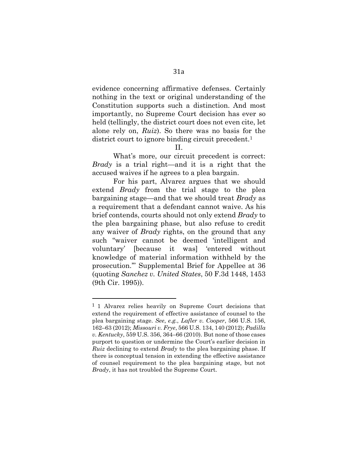evidence concerning affirmative defenses. Certainly nothing in the text or original understanding of the Constitution supports such a distinction. And most importantly, no Supreme Court decision has ever so held (tellingly, the district court does not even cite, let alone rely on, *Ruiz*). So there was no basis for the district court to ignore binding circuit precedent.<sup>1</sup>

What's more, our circuit precedent is correct: *Brady* is a trial right—and it is a right that the accused waives if he agrees to a plea bargain.

For his part, Alvarez argues that we should extend *Brady* from the trial stage to the plea bargaining stage—and that we should treat *Brady* as a requirement that a defendant cannot waive. As his brief contends, courts should not only extend *Brady* to the plea bargaining phase, but also refuse to credit any waiver of *Brady* rights, on the ground that any such "waiver cannot be deemed 'intelligent and voluntary' [because it was] 'entered without knowledge of material information withheld by the prosecution.'" Supplemental Brief for Appellee at 36 (quoting *Sanchez v. United States*, 50 F.3d 1448, 1453 (9th Cir. 1995)).

l

II.

<sup>1</sup> 1 Alvarez relies heavily on Supreme Court decisions that extend the requirement of effective assistance of counsel to the plea bargaining stage. *See*, *e.g.*, *Lafler v. Cooper*, 566 U.S. 156, 162–63 (2012); *Missouri v. Frye*, 566 U.S. 134, 140 (2012); *Padilla v. Kentucky*, 559 U.S. 356, 364–66 (2010). But none of those cases purport to question or undermine the Court's earlier decision in *Ruiz* declining to extend *Brady* to the plea bargaining phase. If there is conceptual tension in extending the effective assistance of counsel requirement to the plea bargaining stage, but not *Brady*, it has not troubled the Supreme Court.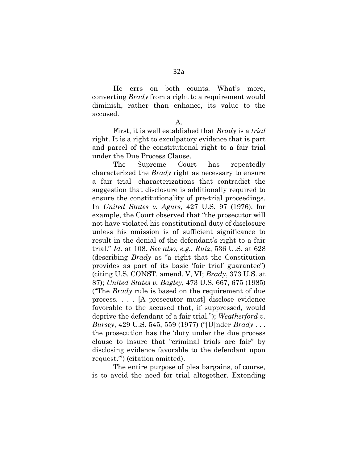He errs on both counts. What's more, converting *Brady* from a right to a requirement would diminish, rather than enhance, its value to the accused.

A.

First, it is well established that *Brady* is a *trial*  right. It is a right to exculpatory evidence that is part and parcel of the constitutional right to a fair trial under the Due Process Clause.

The Supreme Court has repeatedly characterized the *Brady* right as necessary to ensure a fair trial—characterizations that contradict the suggestion that disclosure is additionally required to ensure the constitutionality of pre-trial proceedings. In *United States v. Agurs*, 427 U.S. 97 (1976), for example, the Court observed that "the prosecutor will not have violated his constitutional duty of disclosure unless his omission is of sufficient significance to result in the denial of the defendant's right to a fair trial." *Id.* at 108. *See also*, *e.g.*, *Ruiz*, 536 U.S. at 628 (describing *Brady* as "a right that the Constitution provides as part of its basic 'fair trial' guarantee") (citing U.S. CONST. amend. V, VI; *Brady*, 373 U.S. at 87); *United States v. Bagley*, 473 U.S. 667, 675 (1985) ("The *Brady* rule is based on the requirement of due process. . . . [A prosecutor must] disclose evidence favorable to the accused that, if suppressed, would deprive the defendant of a fair trial."); *Weatherford v. Bursey*, 429 U.S. 545, 559 (1977) ("[U]nder *Brady* . . . the prosecution has the 'duty under the due process clause to insure that "criminal trials are fair" by disclosing evidence favorable to the defendant upon request.'") (citation omitted).

The entire purpose of plea bargains, of course, is to avoid the need for trial altogether. Extending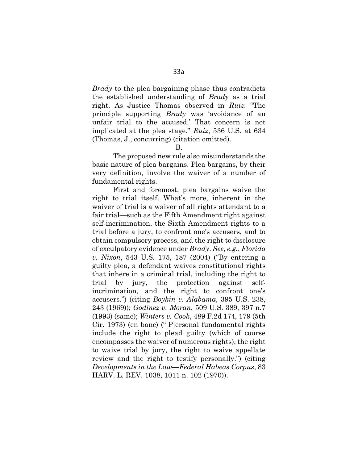*Brady* to the plea bargaining phase thus contradicts the established understanding of *Brady* as a trial right. As Justice Thomas observed in *Ruiz*: "The principle supporting *Brady* was 'avoidance of an unfair trial to the accused.' That concern is not implicated at the plea stage." *Ruiz*, 536 U.S. at 634 (Thomas, J., concurring) (citation omitted).

The proposed new rule also misunderstands the basic nature of plea bargains. Plea bargains, by their very definition, involve the waiver of a number of fundamental rights.

First and foremost, plea bargains waive the right to trial itself. What's more, inherent in the waiver of trial is a waiver of all rights attendant to a fair trial—such as the Fifth Amendment right against self-incrimination, the Sixth Amendment rights to a trial before a jury, to confront one's accusers, and to obtain compulsory process, and the right to disclosure of exculpatory evidence under *Brady*. *See*, *e.g.*, *Florida v. Nixon*, 543 U.S. 175, 187 (2004) ("By entering a guilty plea, a defendant waives constitutional rights that inhere in a criminal trial, including the right to trial by jury, the protection against selfincrimination, and the right to confront one's accusers.") (citing *Boykin v. Alabama*, 395 U.S. 238, 243 (1969)); *Godinez v. Moran*, 509 U.S. 389, 397 n.7 (1993) (same); *Winters v. Cook*, 489 F.2d 174, 179 (5th Cir. 1973) (en banc) ("[P]ersonal fundamental rights include the right to plead guilty (which of course encompasses the waiver of numerous rights), the right to waive trial by jury, the right to waive appellate review and the right to testify personally.") (citing *Developments in the Law—Federal Habeas Corpus*, 83 HARV. L. REV. 1038, 1011 n. 102 (1970)).

B.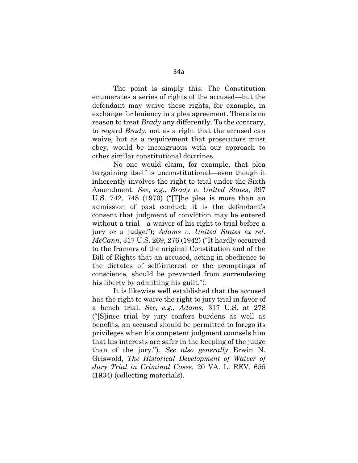The point is simply this: The Constitution enumerates a series of rights of the accused—but the defendant may waive those rights, for example, in exchange for leniency in a plea agreement. There is no reason to treat *Brady* any differently. To the contrary, to regard *Brady*, not as a right that the accused can waive, but as a requirement that prosecutors must obey, would be incongruous with our approach to other similar constitutional doctrines.

No one would claim, for example, that plea bargaining itself is unconstitutional—even though it inherently involves the right to trial under the Sixth Amendment. *See*, *e.g.*, *Brady v. United States*, 397 U.S. 742, 748 (1970) ("[T]he plea is more than an admission of past conduct; it is the defendant's consent that judgment of conviction may be entered without a trial—a waiver of his right to trial before a jury or a judge."); *Adams v. United States ex rel. McCann*, 317 U.S. 269, 276 (1942) ("It hardly occurred to the framers of the original Constitution and of the Bill of Rights that an accused, acting in obedience to the dictates of self-interest or the promptings of conscience, should be prevented from surrendering his liberty by admitting his guilt.").

It is likewise well established that the accused has the right to waive the right to jury trial in favor of a bench trial. *See*, *e.g.*, *Adams*, 317 U.S. at 278 ("[S]ince trial by jury confers burdens as well as benefits, an accused should be permitted to forego its privileges when his competent judgment counsels him that his interests are safer in the keeping of the judge than of the jury."). *See also generally* Erwin N. Griswold, *The Historical Development of Waiver of Jury Trial in Criminal Cases*, 20 VA. L. REV. 655 (1934) (collecting materials).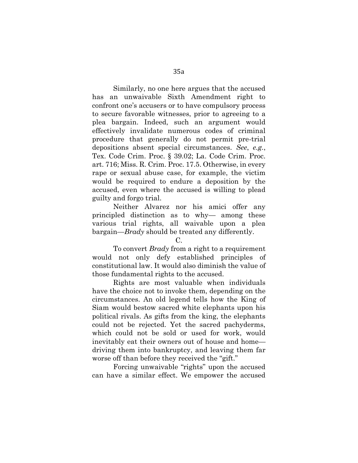Similarly, no one here argues that the accused has an unwaivable Sixth Amendment right to confront one's accusers or to have compulsory process to secure favorable witnesses, prior to agreeing to a plea bargain. Indeed, such an argument would effectively invalidate numerous codes of criminal procedure that generally do not permit pre-trial depositions absent special circumstances. *See*, *e.g.*, Tex. Code Crim. Proc. § 39.02; La. Code Crim. Proc. art. 716; Miss. R. Crim. Proc. 17.5. Otherwise, in every rape or sexual abuse case, for example, the victim would be required to endure a deposition by the accused, even where the accused is willing to plead guilty and forgo trial.

Neither Alvarez nor his amici offer any principled distinction as to why— among these various trial rights, all waivable upon a plea bargain—*Brady* should be treated any differently.

#### C.

To convert *Brady* from a right to a requirement would not only defy established principles of constitutional law. It would also diminish the value of those fundamental rights to the accused.

Rights are most valuable when individuals have the choice not to invoke them, depending on the circumstances. An old legend tells how the King of Siam would bestow sacred white elephants upon his political rivals. As gifts from the king, the elephants could not be rejected. Yet the sacred pachyderms, which could not be sold or used for work, would inevitably eat their owners out of house and home driving them into bankruptcy, and leaving them far worse off than before they received the "gift."

Forcing unwaivable "rights" upon the accused can have a similar effect. We empower the accused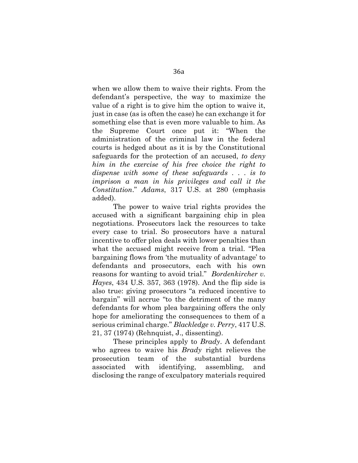when we allow them to waive their rights. From the defendant's perspective, the way to maximize the value of a right is to give him the option to waive it, just in case (as is often the case) he can exchange it for something else that is even more valuable to him. As the Supreme Court once put it: "When the administration of the criminal law in the federal courts is hedged about as it is by the Constitutional safeguards for the protection of an accused, *to deny him in the exercise of his free choice the right to dispense with some of these safeguards . . . is to imprison a man in his privileges and call it the Constitution*." *Adams*, 317 U.S. at 280 (emphasis added).

The power to waive trial rights provides the accused with a significant bargaining chip in plea negotiations. Prosecutors lack the resources to take every case to trial. So prosecutors have a natural incentive to offer plea deals with lower penalties than what the accused might receive from a trial. "Plea bargaining flows from 'the mutuality of advantage' to defendants and prosecutors, each with his own reasons for wanting to avoid trial." *Bordenkircher v. Hayes*, 434 U.S. 357, 363 (1978). And the flip side is also true: giving prosecutors "a reduced incentive to bargain" will accrue "to the detriment of the many defendants for whom plea bargaining offers the only hope for ameliorating the consequences to them of a serious criminal charge." *Blackledge v. Perry*, 417 U.S. 21, 37 (1974) (Rehnquist, J., dissenting).

These principles apply to *Brady*. A defendant who agrees to waive his *Brady* right relieves the prosecution team of the substantial burdens associated with identifying, assembling, and disclosing the range of exculpatory materials required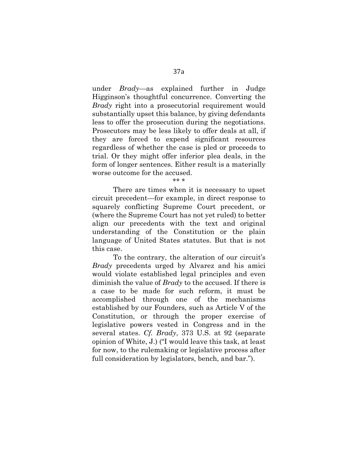under *Brady*—as explained further in Judge Higginson's thoughtful concurrence. Converting the *Brady* right into a prosecutorial requirement would substantially upset this balance, by giving defendants less to offer the prosecution during the negotiations. Prosecutors may be less likely to offer deals at all, if they are forced to expend significant resources regardless of whether the case is pled or proceeds to trial. Or they might offer inferior plea deals, in the form of longer sentences. Either result is a materially worse outcome for the accused.

\*\* \*

There are times when it is necessary to upset circuit precedent—for example, in direct response to squarely conflicting Supreme Court precedent, or (where the Supreme Court has not yet ruled) to better align our precedents with the text and original understanding of the Constitution or the plain language of United States statutes. But that is not this case.

To the contrary, the alteration of our circuit's *Brady* precedents urged by Alvarez and his amici would violate established legal principles and even diminish the value of *Brady* to the accused. If there is a case to be made for such reform, it must be accomplished through one of the mechanisms established by our Founders, such as Article V of the Constitution, or through the proper exercise of legislative powers vested in Congress and in the several states. *Cf. Brady*, 373 U.S. at 92 (separate opinion of White, J.) ("I would leave this task, at least for now, to the rulemaking or legislative process after full consideration by legislators, bench, and bar.").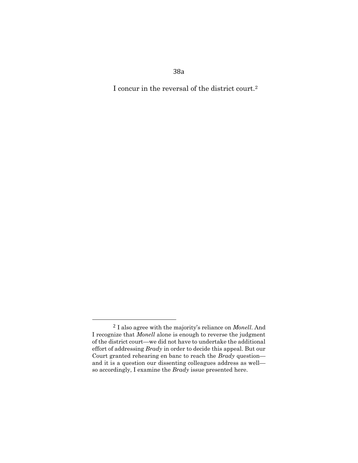38a

I concur in the reversal of the district court.<sup>2</sup>

<sup>2</sup> I also agree with the majority's reliance on *Monell*. And I recognize that *Monell* alone is enough to reverse the judgment of the district court—we did not have to undertake the additional effort of addressing *Brady* in order to decide this appeal. But our Court granted rehearing en banc to reach the *Brady* question and it is a question our dissenting colleagues address as well so accordingly, I examine the *Brady* issue presented here.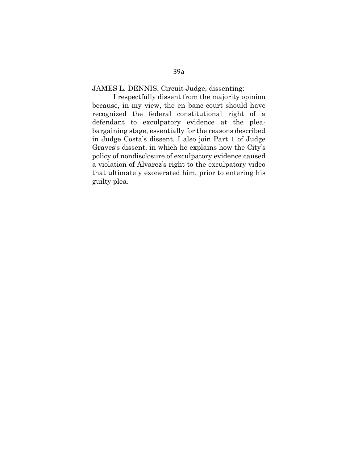I respectfully dissent from the majority opinion because, in my view, the en banc court should have recognized the federal constitutional right of a defendant to exculpatory evidence at the pleabargaining stage, essentially for the reasons described in Judge Costa's dissent. I also join Part 1 of Judge Graves's dissent, in which he explains how the City's policy of nondisclosure of exculpatory evidence caused a violation of Alvarez's right to the exculpatory video that ultimately exonerated him, prior to entering his guilty plea.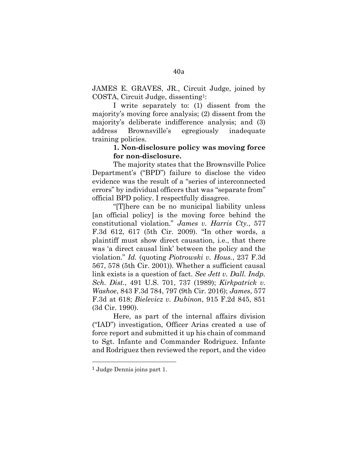JAMES E. GRAVES, JR., Circuit Judge, joined by COSTA, Circuit Judge, dissenting1:

I write separately to: (1) dissent from the majority's moving force analysis; (2) dissent from the majority's deliberate indifference analysis; and (3) address Brownsville's egregiously inadequate training policies.

## **1. Non-disclosure policy was moving force for non-disclosure.**

The majority states that the Brownsville Police Department's ("BPD") failure to disclose the video evidence was the result of a "series of interconnected errors" by individual officers that was "separate from" official BPD policy. I respectfully disagree.

"[T]here can be no municipal liability unless [an official policy] is the moving force behind the constitutional violation." *James v. Harris Cty.*, 577 F.3d 612, 617 (5th Cir. 2009). "In other words, a plaintiff must show direct causation, i.e., that there was 'a direct causal link' between the policy and the violation." *Id.* (quoting *Piotrowski v. Hous.*, 237 F.3d 567, 578 (5th Cir. 2001)). Whether a sufficient causal link exists is a question of fact. *See Jett v. Dall. Indp. Sch. Dist.*, 491 U.S. 701, 737 (1989); *Kirkpatrick v. Washoe*, 843 F.3d 784, 797 (9th Cir. 2016); *James*, 577 F.3d at 618; *Bielevicz v. Dubinon*, 915 F.2d 845, 851 (3d Cir. 1990).

Here, as part of the internal affairs division ("IAD") investigation, Officer Arias created a use of force report and submitted it up his chain of command to Sgt. Infante and Commander Rodriguez. Infante and Rodriguez then reviewed the report, and the video

<sup>1</sup> Judge Dennis joins part 1.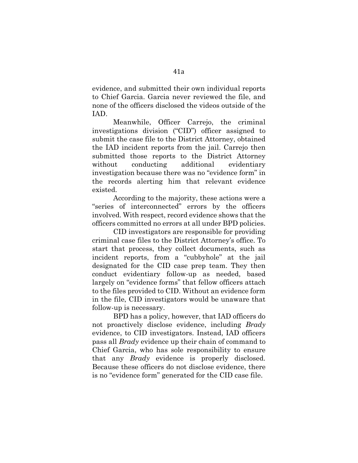evidence, and submitted their own individual reports to Chief Garcia. Garcia never reviewed the file, and none of the officers disclosed the videos outside of the IAD.

Meanwhile, Officer Carrejo, the criminal investigations division ("CID") officer assigned to submit the case file to the District Attorney, obtained the IAD incident reports from the jail. Carrejo then submitted those reports to the District Attorney without conducting additional evidentiary investigation because there was no "evidence form" in the records alerting him that relevant evidence existed.

According to the majority, these actions were a "series of interconnected" errors by the officers involved. With respect, record evidence shows that the officers committed no errors at all under BPD policies.

CID investigators are responsible for providing criminal case files to the District Attorney's office. To start that process, they collect documents, such as incident reports, from a "cubbyhole" at the jail designated for the CID case prep team. They then conduct evidentiary follow-up as needed, based largely on "evidence forms" that fellow officers attach to the files provided to CID. Without an evidence form in the file, CID investigators would be unaware that follow-up is necessary.

BPD has a policy, however, that IAD officers do not proactively disclose evidence, including *Brady*  evidence, to CID investigators. Instead, IAD officers pass all *Brady* evidence up their chain of command to Chief Garcia, who has sole responsibility to ensure that any *Brady* evidence is properly disclosed. Because these officers do not disclose evidence, there is no "evidence form" generated for the CID case file.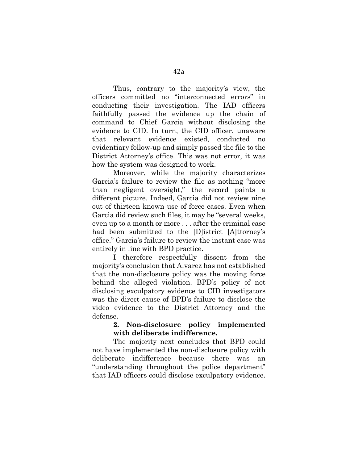Thus, contrary to the majority's view, the officers committed no "interconnected errors" in conducting their investigation. The IAD officers faithfully passed the evidence up the chain of command to Chief Garcia without disclosing the evidence to CID. In turn, the CID officer, unaware that relevant evidence existed, conducted no evidentiary follow-up and simply passed the file to the District Attorney's office. This was not error, it was how the system was designed to work.

Moreover, while the majority characterizes Garcia's failure to review the file as nothing "more than negligent oversight," the record paints a different picture. Indeed, Garcia did not review nine out of thirteen known use of force cases. Even when Garcia did review such files, it may be "several weeks, even up to a month or more . . . after the criminal case had been submitted to the [D]istrict [A]ttorney's office." Garcia's failure to review the instant case was entirely in line with BPD practice.

I therefore respectfully dissent from the majority's conclusion that Alvarez has not established that the non-disclosure policy was the moving force behind the alleged violation. BPD's policy of not disclosing exculpatory evidence to CID investigators was the direct cause of BPD's failure to disclose the video evidence to the District Attorney and the defense.

## **2. Non-disclosure policy implemented with deliberate indifference.**

The majority next concludes that BPD could not have implemented the non-disclosure policy with deliberate indifference because there was an "understanding throughout the police department" that IAD officers could disclose exculpatory evidence.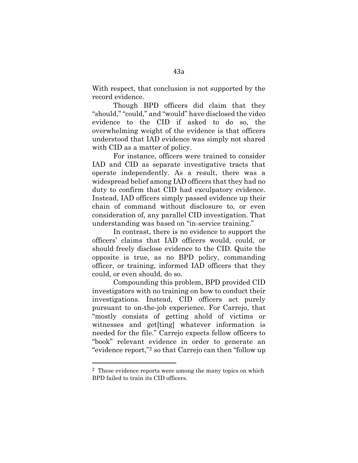With respect, that conclusion is not supported by the record evidence.

Though BPD officers did claim that they "should," "could," and "would" have disclosed the video evidence to the CID if asked to do so, the overwhelming weight of the evidence is that officers understood that IAD evidence was simply not shared with CID as a matter of policy.

For instance, officers were trained to consider IAD and CID as separate investigative tracts that operate independently. As a result, there was a widespread belief among IAD officers that they had no duty to confirm that CID had exculpatory evidence. Instead, IAD officers simply passed evidence up their chain of command without disclosure to, or even consideration of, any parallel CID investigation. That understanding was based on "in-service training."

In contrast, there is no evidence to support the officers' claims that IAD officers would, could, or should freely disclose evidence to the CID. Quite the opposite is true, as no BPD policy, commanding officer, or training, informed IAD officers that they could, or even should, do so.

Compounding this problem, BPD provided CID investigators with no training on how to conduct their investigations. Instead, CID officers act purely pursuant to on-the-job experience. For Carrejo, that "mostly consists of getting ahold of victims or witnesses and get[ting] whatever information is needed for the file." Carrejo expects fellow officers to "book" relevant evidence in order to generate an "evidence report,"<sup>2</sup> so that Carrejo can then "follow up

<sup>2</sup> These evidence reports were among the many topics on which BPD failed to train its CID officers.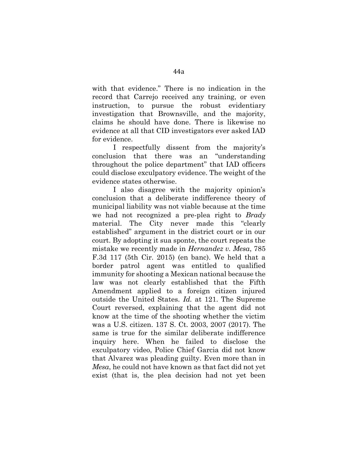with that evidence." There is no indication in the record that Carrejo received any training, or even instruction, to pursue the robust evidentiary investigation that Brownsville, and the majority, claims he should have done. There is likewise no evidence at all that CID investigators ever asked IAD for evidence.

I respectfully dissent from the majority's conclusion that there was an "understanding throughout the police department" that IAD officers could disclose exculpatory evidence. The weight of the evidence states otherwise.

I also disagree with the majority opinion's conclusion that a deliberate indifference theory of municipal liability was not viable because at the time we had not recognized a pre-plea right to *Brady*  material. The City never made this "clearly established" argument in the district court or in our court. By adopting it sua sponte, the court repeats the mistake we recently made in *Hernandez v. Mesa*, 785 F.3d 117 (5th Cir. 2015) (en banc). We held that a border patrol agent was entitled to qualified immunity for shooting a Mexican national because the law was not clearly established that the Fifth Amendment applied to a foreign citizen injured outside the United States. *Id.* at 121. The Supreme Court reversed, explaining that the agent did not know at the time of the shooting whether the victim was a U.S. citizen. 137 S. Ct. 2003, 2007 (2017). The same is true for the similar deliberate indifference inquiry here. When he failed to disclose the exculpatory video, Police Chief Garcia did not know that Alvarez was pleading guilty. Even more than in *Mesa*, he could not have known as that fact did not yet exist (that is, the plea decision had not yet been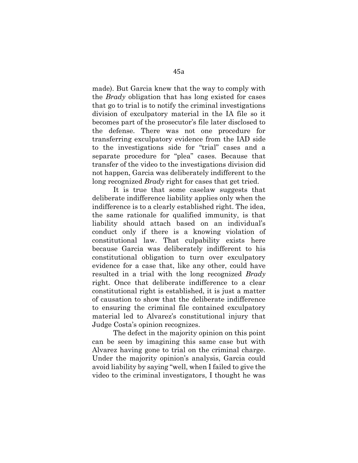made). But Garcia knew that the way to comply with the *Brady* obligation that has long existed for cases that go to trial is to notify the criminal investigations division of exculpatory material in the IA file so it becomes part of the prosecutor's file later disclosed to the defense. There was not one procedure for transferring exculpatory evidence from the IAD side to the investigations side for "trial" cases and a separate procedure for "plea" cases. Because that transfer of the video to the investigations division did not happen, Garcia was deliberately indifferent to the long recognized *Brady* right for cases that get tried.

It is true that some caselaw suggests that deliberate indifference liability applies only when the indifference is to a clearly established right. The idea, the same rationale for qualified immunity, is that liability should attach based on an individual's conduct only if there is a knowing violation of constitutional law. That culpability exists here because Garcia was deliberately indifferent to his constitutional obligation to turn over exculpatory evidence for a case that, like any other, could have resulted in a trial with the long recognized *Brady*  right. Once that deliberate indifference to a clear constitutional right is established, it is just a matter of causation to show that the deliberate indifference to ensuring the criminal file contained exculpatory material led to Alvarez's constitutional injury that Judge Costa's opinion recognizes.

The defect in the majority opinion on this point can be seen by imagining this same case but with Alvarez having gone to trial on the criminal charge. Under the majority opinion's analysis, Garcia could avoid liability by saying "well, when I failed to give the video to the criminal investigators, I thought he was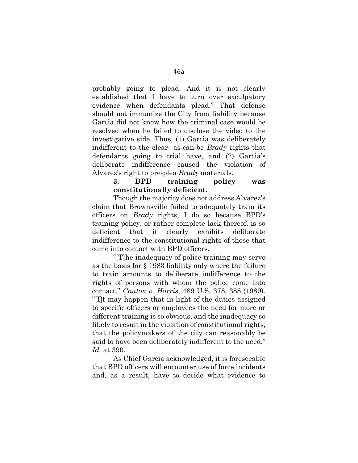probably going to plead. And it is not clearly established that I have to turn over exculpatory evidence when defendants plead." That defense should not immunize the City from liability because Garcia did not know how the criminal case would be resolved when he failed to disclose the video to the investigative side. Thus, (1) Garcia was deliberately indifferent to the clear- as-can-be *Brady* rights that defendants going to trial have, and (2) Garcia's deliberate indifference caused the violation of Alvarez's right to pre-plea *Brady* materials.

## **3. BPD training policy was constitutionally deficient.**

Though the majority does not address Alvarez's claim that Brownsville failed to adequately train its officers on *Brady* rights, I do so because BPD's training policy, or rather complete lack thereof, is so deficient that it clearly exhibits deliberate indifference to the constitutional rights of those that come into contact with BPD officers.

"[T]he inadequacy of police training may serve as the basis for § 1983 liability only where the failure to train amounts to deliberate indifference to the rights of persons with whom the police come into contact." *Canton v. Harris*, 489 U.S. 378, 388 (1989). "[I]t may happen that in light of the duties assigned to specific officers or employees the need for more or different training is so obvious, and the inadequacy so likely to result in the violation of constitutional rights, that the policymakers of the city can reasonably be said to have been deliberately indifferent to the need." *Id.* at 390.

As Chief Garcia acknowledged, it is foreseeable that BPD officers will encounter use of force incidents and, as a result, have to decide what evidence to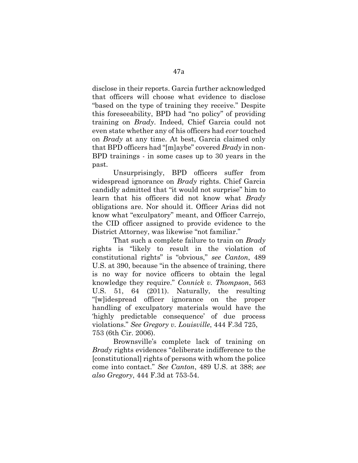disclose in their reports. Garcia further acknowledged that officers will choose what evidence to disclose "based on the type of training they receive." Despite this foreseeability, BPD had "no policy" of providing training on *Brady*. Indeed, Chief Garcia could not even state whether any of his officers had *ever* touched on *Brady* at any time. At best, Garcia claimed only that BPD officers had "[m]aybe" covered *Brady* in non-BPD trainings - in some cases up to 30 years in the past.

Unsurprisingly, BPD officers suffer from widespread ignorance on *Brady* rights. Chief Garcia candidly admitted that "it would not surprise" him to learn that his officers did not know what *Brady*  obligations are. Nor should it. Officer Arias did not know what "exculpatory" meant, and Officer Carrejo, the CID officer assigned to provide evidence to the District Attorney, was likewise "not familiar."

That such a complete failure to train on *Brady*  rights is "likely to result in the violation of constitutional rights" is "obvious," *see Canton*, 489 U.S. at 390, because "in the absence of training, there is no way for novice officers to obtain the legal knowledge they require." *Connick v. Thompson*, 563 U.S. 51, 64 (2011). Naturally, the resulting "[w]idespread officer ignorance on the proper handling of exculpatory materials would have the 'highly predictable consequence' of due process violations." *See Gregory v. Louisville*, 444 F.3d 725, 753 (6th Cir. 2006).

Brownsville's complete lack of training on *Brady* rights evidences "deliberate indifference to the [constitutional] rights of persons with whom the police come into contact." *See Canton*, 489 U.S. at 388; *see also Gregory*, 444 F.3d at 753-54.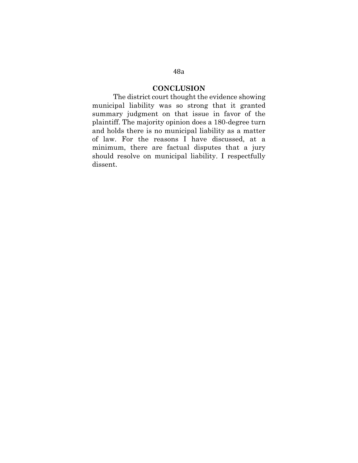### **CONCLUSION**

The district court thought the evidence showing municipal liability was so strong that it granted summary judgment on that issue in favor of the plaintiff. The majority opinion does a 180-degree turn and holds there is no municipal liability as a matter of law. For the reasons I have discussed, at a minimum, there are factual disputes that a jury should resolve on municipal liability. I respectfully dissent.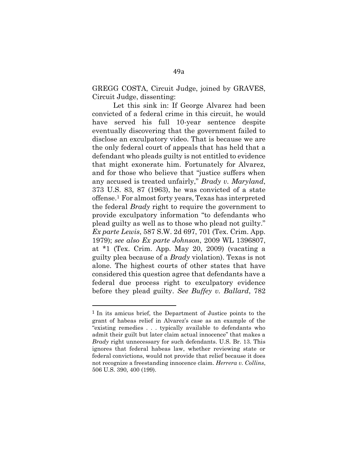GREGG COSTA, Circuit Judge, joined by GRAVES, Circuit Judge, dissenting:

Let this sink in: If George Alvarez had been convicted of a federal crime in this circuit, he would have served his full 10-year sentence despite eventually discovering that the government failed to disclose an exculpatory video. That is because we are the only federal court of appeals that has held that a defendant who pleads guilty is not entitled to evidence that might exonerate him. Fortunately for Alvarez, and for those who believe that "justice suffers when any accused is treated unfairly," *Brady v. Maryland*, 373 U.S. 83, 87 (1963), he was convicted of a state offense. <sup>1</sup> For almost forty years, Texas has interpreted the federal *Brady* right to require the government to provide exculpatory information "to defendants who plead guilty as well as to those who plead not guilty." *Ex parte Lewis*, 587 S.W. 2d 697, 701 (Tex. Crim. App. 1979); *see also Ex parte Johnson*, 2009 WL 1396807, at \*1 (Tex. Crim. App. May 20, 2009) (vacating a guilty plea because of a *Brady* violation). Texas is not alone. The highest courts of other states that have considered this question agree that defendants have a federal due process right to exculpatory evidence before they plead guilty. *See Buffey v. Ballard*, 782

<sup>1</sup> In its amicus brief, the Department of Justice points to the grant of habeas relief in Alvarez's case as an example of the "existing remedies . . . typically available to defendants who admit their guilt but later claim actual innocence" that makes a *Brady* right unnecessary for such defendants. U.S. Br. 13. This ignores that federal habeas law, whether reviewing state or federal convictions, would not provide that relief because it does not recognize a freestanding innocence claim. *Herrera v. Collins*, 506 U.S. 390, 400 (199).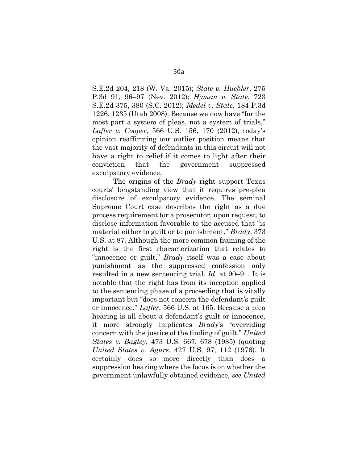S.E.2d 204, 218 (W. Va. 2015); *State v. Huebler*, 275 P.3d 91, 96–97 (Nev. 2012); *Hyman v. State*, 723 S.E.2d 375, 380 (S.C. 2012); *Medel v. State,* 184 P.3d 1226, 1235 (Utah 2008). Because we now have "for the most part a system of pleas, not a system of trials," *Lafler v. Cooper*, 566 U.S. 156, 170 (2012), today's opinion reaffirming our outlier position means that the vast majority of defendants in this circuit will not have a right to relief if it comes to light after their conviction that the government suppressed exculpatory evidence.

The origins of the *Brady* right support Texas courts' longstanding view that it requires pre-plea disclosure of exculpatory evidence. The seminal Supreme Court case describes the right as a due process requirement for a prosecutor, upon request, to disclose information favorable to the accused that "is material either to guilt or to punishment." *Brady*, 373 U.S. at 87. Although the more common framing of the right is the first characterization that relates to "innocence or guilt," *Brady* itself was a case about punishment as the suppressed confession only resulted in a new sentencing trial. *Id*. at 90–91. It is notable that the right has from its inception applied to the sentencing phase of a proceeding that is vitally important but "does not concern the defendant's guilt or innocence." *Lafler*, 566 U.S. at 165. Because a plea hearing is all about a defendant's guilt or innocence, it more strongly implicates *Brady*'s "overriding concern with the justice of the finding of guilt." *United States v. Bagley*, 473 U.S. 667, 678 (1985) (quoting *United States v. Agurs*, 427 U.S. 97, 112 (1976). It certainly does so more directly than does a suppression hearing where the focus is on whether the government unlawfully obtained evidence, *see United*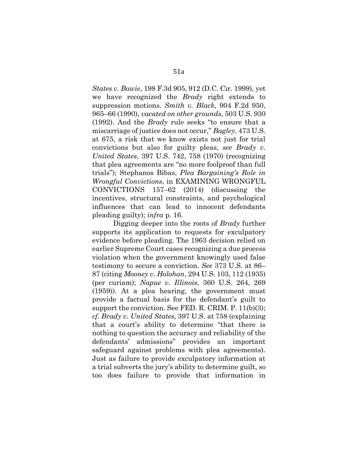*States v. Bowie*, 198 F.3d 905, 912 (D.C. Cir. 1999), yet we have recognized the *Brady* right extends to suppression motions. *Smith v. Black*, 904 F.2d 950, 965–66 (1990), *vacated on other grounds*, 503 U.S. 930 (1992). And the *Brady* rule seeks "to ensure that a miscarriage of justice does not occur," *Bagley*, 473 U.S. at 675, a risk that we know exists not just for trial convictions but also for guilty pleas, *see Brady v. United States*, 397 U.S. 742, 758 (1970) (recognizing that plea agreements are "no more foolproof than full trials"); Stephanos Bibas, *Plea Bargaining's Role in Wrongful Convictions*, in EXAMINING WRONGFUL CONVICTIONS 157–62 (2014) (discussing the incentives, structural constraints, and psychological influences that can lead to innocent defendants pleading guilty); *infra* p. 16.

Digging deeper into the roots of *Brady* further supports its application to requests for exculpatory evidence before pleading. The 1963 decision relied on earlier Supreme Court cases recognizing a due process violation when the government knowingly used false testimony to secure a conviction. *See* 373 U.S. at 86– 87 (citing *Mooney v. Holohan*, 294 U.S. 103, 112 (1935) (per curiam); *Napue v. Illinois*, 360 U.S. 264, 269 (1959)). At a plea hearing, the government must provide a factual basis for the defendant's guilt to support the conviction. See FED. R. CRIM. P. 11(b)(3); *cf. Brady v. United States*, 397 U.S. at 758 (explaining that a court's ability to determine "that there is nothing to question the accuracy and reliability of the defendants' admissions" provides an important safeguard against problems with plea agreements). Just as failure to provide exculpatory information at a trial subverts the jury's ability to determine guilt, so too does failure to provide that information in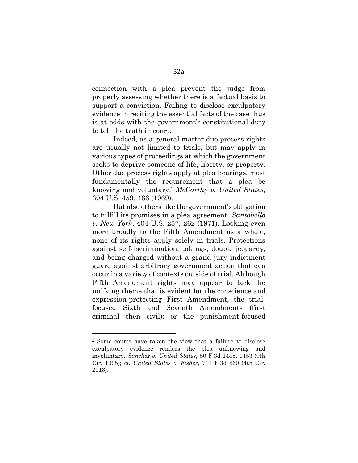connection with a plea prevent the judge from properly assessing whether there is a factual basis to support a conviction. Failing to disclose exculpatory evidence in reciting the essential facts of the case thus is at odds with the government's constitutional duty to tell the truth in court.

Indeed, as a general matter due process rights are usually not limited to trials, but may apply in various types of proceedings at which the government seeks to deprive someone of life, liberty, or property. Other due process rights apply at plea hearings, most fundamentally the requirement that a plea be knowing and voluntary. <sup>2</sup> *McCarthy v. United States*, 394 U.S. 459, 466 (1969).

But also others like the government's obligation to fulfill its promises in a plea agreement. *Santobello v. New York*, 404 U.S. 257, 262 (1971). Looking even more broadly to the Fifth Amendment as a whole, none of its rights apply solely in trials. Protections against self-incrimination, takings, double jeopardy, and being charged without a grand jury indictment guard against arbitrary government action that can occur in a variety of contexts outside of trial. Although Fifth Amendment rights may appear to lack the unifying theme that is evident for the conscience and expression-protecting First Amendment, the trialfocused Sixth and Seventh Amendments (first criminal then civil); or the punishment-focused

<sup>2</sup> Some courts have taken the view that a failure to disclose exculpatory evidence renders the plea unknowing and involuntary. *Sanchez v. United States*, 50 F.3d 1448, 1453 (9th Cir. 1995); *cf. United States v. Fisher*, 711 F.3d 460 (4th Cir. 2013).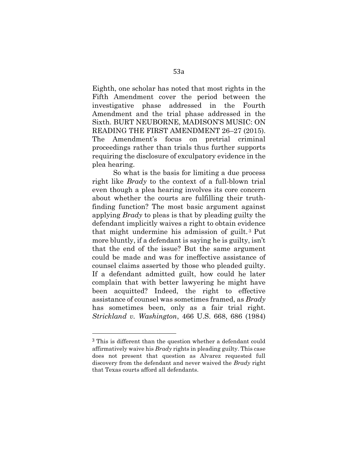Eighth, one scholar has noted that most rights in the Fifth Amendment cover the period between the investigative phase addressed in the Fourth Amendment and the trial phase addressed in the Sixth. BURT NEUBORNE, MADISON'S MUSIC: ON READING THE FIRST AMENDMENT 26–27 (2015). The Amendment's focus on pretrial criminal proceedings rather than trials thus further supports requiring the disclosure of exculpatory evidence in the plea hearing.

So what is the basis for limiting a due process right like *Brady* to the context of a full-blown trial even though a plea hearing involves its core concern about whether the courts are fulfilling their truthfinding function? The most basic argument against applying *Brady* to pleas is that by pleading guilty the defendant implicitly waives a right to obtain evidence that might undermine his admission of guilt. <sup>3</sup> Put more bluntly, if a defendant is saying he is guilty, isn't that the end of the issue? But the same argument could be made and was for ineffective assistance of counsel claims asserted by those who pleaded guilty. If a defendant admitted guilt, how could he later complain that with better lawyering he might have been acquitted? Indeed, the right to effective assistance of counsel was sometimes framed, as *Brady*  has sometimes been, only as a fair trial right. *Strickland v. Washington*, 466 U.S. 668, 686 (1984)

<sup>3</sup> This is different than the question whether a defendant could affirmatively waive his *Brady* rights in pleading guilty. This case does not present that question as Alvarez requested full discovery from the defendant and never waived the *Brady* right that Texas courts afford all defendants.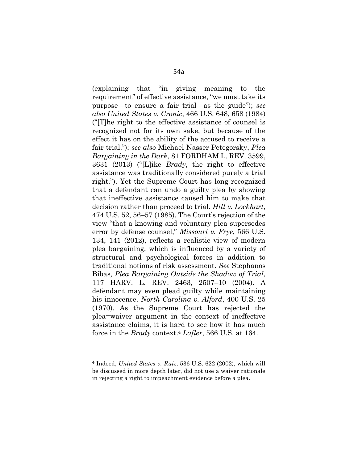(explaining that "in giving meaning to the requirement" of effective assistance, "we must take its purpose—to ensure a fair trial—as the guide"); *see also United States v. Cronic*, 466 U.S. 648, 658 (1984) ("[T]he right to the effective assistance of counsel is recognized not for its own sake, but because of the effect it has on the ability of the accused to receive a fair trial."); *see also* Michael Nasser Petegorsky, *Plea Bargaining in the Dark*, 81 FORDHAM L. REV. 3599, 3631 (2013) ("[L]ike *Brady*, the right to effective assistance was traditionally considered purely a trial right."). Yet the Supreme Court has long recognized that a defendant can undo a guilty plea by showing that ineffective assistance caused him to make that decision rather than proceed to trial. *Hill v. Lockhart*, 474 U.S. 52, 56–57 (1985). The Court's rejection of the view "that a knowing and voluntary plea supersedes error by defense counsel," *Missouri v. Frye*, 566 U.S. 134, 141 (2012), reflects a realistic view of modern plea bargaining, which is influenced by a variety of structural and psychological forces in addition to traditional notions of risk assessment. *See* Stephanos Bibas*, Plea Bargaining Outside the Shadow of Trial*, 117 HARV. L. REV. 2463, 2507–10 (2004). A defendant may even plead guilty while maintaining his innocence. *North Carolina v. Alford*, 400 U.S. 25 (1970). As the Supreme Court has rejected the plea=waiver argument in the context of ineffective assistance claims, it is hard to see how it has much force in the *Brady* context. <sup>4</sup> *Lafler*, 566 U.S. at 164.

<sup>4</sup> Indeed, *United States v. Ruiz*, 536 U.S. 622 (2002), which will be discussed in more depth later, did not use a waiver rationale in rejecting a right to impeachment evidence before a plea.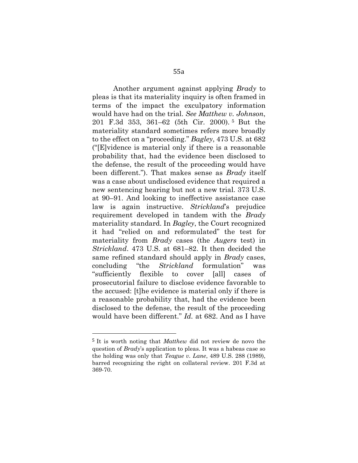Another argument against applying *Brady* to pleas is that its materiality inquiry is often framed in terms of the impact the exculpatory information would have had on the trial. *See Matthew v. Johnson*, 201 F.3d 353, 361–62 (5th Cir. 2000). <sup>5</sup> But the materiality standard sometimes refers more broadly to the effect on a "proceeding." *Bagley*, 473 U.S. at 682 ("[E]vidence is material only if there is a reasonable probability that, had the evidence been disclosed to the defense, the result of the proceeding would have been different."). That makes sense as *Brady* itself was a case about undisclosed evidence that required a new sentencing hearing but not a new trial. 373 U.S. at 90–91. And looking to ineffective assistance case law is again instructive. *Strickland*'s prejudice requirement developed in tandem with the *Brady*  materiality standard. In *Bagley*, the Court recognized it had "relied on and reformulated" the test for materiality from *Brady* cases (the *Augers* test) in *Strickland*. 473 U.S. at 681–82. It then decided the same refined standard should apply in *Brady* cases, concluding "the *Strickland* formulation" was "sufficiently flexible to cover [all] cases of prosecutorial failure to disclose evidence favorable to the accused: [t]he evidence is material only if there is a reasonable probability that, had the evidence been disclosed to the defense, the result of the proceeding would have been different." *Id.* at 682. And as I have

<sup>5</sup> It is worth noting that *Matthew* did not review de novo the question of *Brady*'s application to pleas. It was a habeas case so the holding was only that *Teague v. Lane*, 489 U.S. 288 (1989), barred recognizing the right on collateral review. 201 F.3d at 369-70.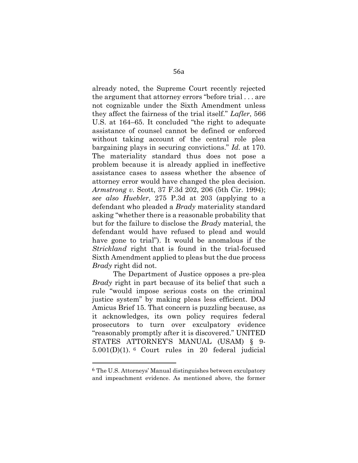already noted, the Supreme Court recently rejected the argument that attorney errors "before trial . . . are not cognizable under the Sixth Amendment unless they affect the fairness of the trial itself." *Lafler*, 566 U.S. at 164–65. It concluded "the right to adequate assistance of counsel cannot be defined or enforced without taking account of the central role plea bargaining plays in securing convictions." *Id.* at 170. The materiality standard thus does not pose a problem because it is already applied in ineffective assistance cases to assess whether the absence of attorney error would have changed the plea decision. *Armstrong v.* Scott, 37 F.3d 202, 206 (5th Cir. 1994); *see also Huebler*, 275 P.3d at 203 (applying to a defendant who pleaded a *Brady* materiality standard asking "whether there is a reasonable probability that but for the failure to disclose the *Brady* material, the defendant would have refused to plead and would have gone to trial"). It would be anomalous if the *Strickland* right that is found in the trial-focused Sixth Amendment applied to pleas but the due process *Brady* right did not.

The Department of Justice opposes a pre-plea *Brady* right in part because of its belief that such a rule "would impose serious costs on the criminal justice system" by making pleas less efficient. DOJ Amicus Brief 15. That concern is puzzling because, as it acknowledges, its own policy requires federal prosecutors to turn over exculpatory evidence "reasonably promptly after it is discovered." UNITED STATES ATTORNEY'S MANUAL (USAM) § 9- 5.001(D)(1). <sup>6</sup> Court rules in 20 federal judicial

<sup>6</sup> The U.S. Attorneys' Manual distinguishes between exculpatory and impeachment evidence. As mentioned above, the former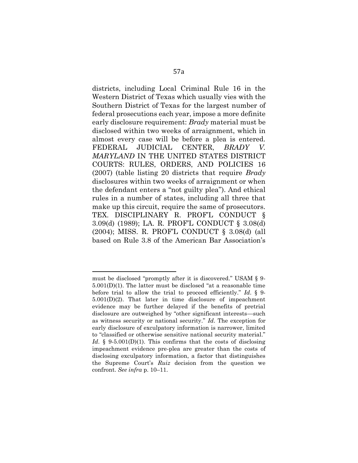districts, including Local Criminal Rule 16 in the Western District of Texas which usually vies with the Southern District of Texas for the largest number of federal prosecutions each year, impose a more definite early disclosure requirement: *Brady* material must be disclosed within two weeks of arraignment, which in almost every case will be before a plea is entered. FEDERAL JUDICIAL CENTER, *BRADY V. MARYLAND* IN THE UNITED STATES DISTRICT COURTS: RULES, ORDERS, AND POLICIES 16 (2007) (table listing 20 districts that require *Brady*  disclosures within two weeks of arraignment or when the defendant enters a "not guilty plea"). And ethical rules in a number of states, including all three that make up this circuit, require the same of prosecutors. TEX. DISCIPLINARY R. PROF'L CONDUCT § 3.09(d) (1989); LA. R. PROF'L CONDUCT § 3.08(d) (2004); MISS. R. PROF'L CONDUCT § 3.08(d) (all based on Rule 3.8 of the American Bar Association's

must be disclosed "promptly after it is discovered." USAM § 9- 5.001(D)(1). The latter must be disclosed "at a reasonable time before trial to allow the trial to proceed efficiently." *Id*. § 9- 5.001(D)(2). That later in time disclosure of impeachment evidence may be further delayed if the benefits of pretrial disclosure are outweighed by "other significant interests—such as witness security or national security." *Id*. The exception for early disclosure of exculpatory information is narrower, limited to "classified or otherwise sensitive national security material." *Id.* § 9-5.001(D)(1). This confirms that the costs of disclosing impeachment evidence pre-plea are greater than the costs of disclosing exculpatory information, a factor that distinguishes the Supreme Court's *Ruiz* decision from the question we confront. *See infra* p. 10–11.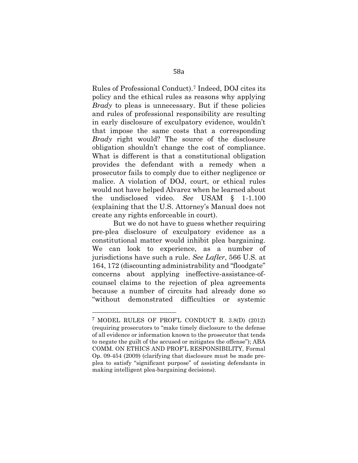Rules of Professional Conduct).<sup>7</sup> Indeed, DOJ cites its policy and the ethical rules as reasons why applying *Brady* to pleas is unnecessary. But if these policies and rules of professional responsibility are resulting in early disclosure of exculpatory evidence, wouldn't that impose the same costs that a corresponding *Brady* right would? The source of the disclosure obligation shouldn't change the cost of compliance. What is different is that a constitutional obligation provides the defendant with a remedy when a prosecutor fails to comply due to either negligence or malice. A violation of DOJ, court, or ethical rules would not have helped Alvarez when he learned about the undisclosed video. *See* USAM § 1-1.100 (explaining that the U.S. Attorney's Manual does not create any rights enforceable in court).

But we do not have to guess whether requiring pre-plea disclosure of exculpatory evidence as a constitutional matter would inhibit plea bargaining. We can look to experience, as a number of jurisdictions have such a rule. *See Lafler*, 566 U.S. at 164, 172 (discounting administrability and "floodgate" concerns about applying ineffective-assistance-ofcounsel claims to the rejection of plea agreements because a number of circuits had already done so "without demonstrated difficulties or systemic

<sup>7</sup> MODEL RULES OF PROF'L CONDUCT R. 3.8(D) (2012) (requiring prosecutors to "make timely disclosure to the defense of all evidence or information known to the prosecutor that tends to negate the guilt of the accused or mitigates the offense"); ABA COMM. ON ETHICS AND PROF'L RESPONSIBILITY, Formal Op. 09-454 (2009) (clarifying that disclosure must be made preplea to satisfy "significant purpose" of assisting defendants in making intelligent plea-bargaining decisions).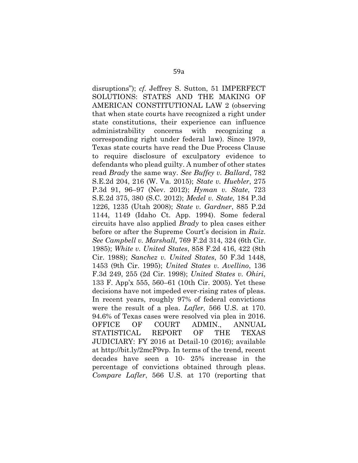disruptions"); *cf.* Jeffrey S. Sutton, 51 IMPERFECT SOLUTIONS: STATES AND THE MAKING OF AMERICAN CONSTITUTIONAL LAW 2 (observing that when state courts have recognized a right under state constitutions, their experience can influence administrability concerns with recognizing a corresponding right under federal law). Since 1979, Texas state courts have read the Due Process Clause to require disclosure of exculpatory evidence to defendants who plead guilty. A number of other states read *Brady* the same way. *See Buffey v. Ballard*, 782 S.E.2d 204, 216 (W. Va. 2015); *State v. Huebler*, 275 P.3d 91, 96–97 (Nev. 2012); *Hyman v. State*, 723 S.E.2d 375, 380 (S.C. 2012); *Medel v. State,* 184 P.3d 1226, 1235 (Utah 2008); *State v. Gardner*, 885 P.2d 1144, 1149 (Idaho Ct. App. 1994). Some federal circuits have also applied *Brady* to plea cases either before or after the Supreme Court's decision in *Ruiz*. *See Campbell v. Marshall*, 769 F.2d 314, 324 (6th Cir. 1985); *White v. United States*, 858 F.2d 416, 422 (8th Cir. 1988); *Sanchez v. United States*, 50 F.3d 1448, 1453 (9th Cir. 1995); *United States v. Avellino*, 136 F.3d 249, 255 (2d Cir. 1998); *United States v. Ohiri*, 133 F. App'x 555, 560–61 (10th Cir. 2005). Yet these decisions have not impeded ever-rising rates of pleas. In recent years, roughly 97% of federal convictions were the result of a plea. *Lafler*, 566 U.S. at 170. 94.6% of Texas cases were resolved via plea in 2016. OFFICE OF COURT ADMIN., ANNUAL STATISTICAL REPORT OF THE TEXAS JUDICIARY: FY 2016 at Detail-10 (2016); available at http://bit.ly/2mcF9vp. In terms of the trend, recent decades have seen a 10- 25% increase in the percentage of convictions obtained through pleas. *Compare Lafler*, 566 U.S. at 170 (reporting that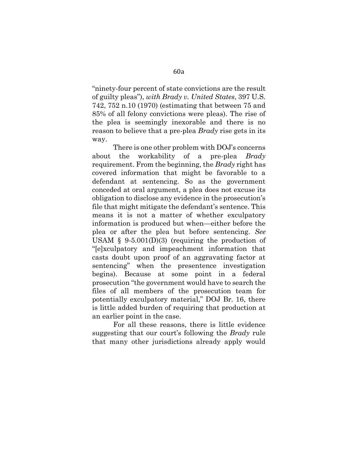"ninety-four percent of state convictions are the result of guilty pleas"), *with Brady v. United States*, 397 U.S. 742, 752 n.10 (1970) (estimating that between 75 and 85% of all felony convictions were pleas). The rise of the plea is seemingly inexorable and there is no reason to believe that a pre-plea *Brady* rise gets in its way.

There is one other problem with DOJ's concerns about the workability of a pre-plea *Brady*  requirement. From the beginning, the *Brady* right has covered information that might be favorable to a defendant at sentencing. So as the government conceded at oral argument, a plea does not excuse its obligation to disclose any evidence in the prosecution's file that might mitigate the defendant's sentence. This means it is not a matter of whether exculpatory information is produced but when—either before the plea or after the plea but before sentencing. *See*  USAM  $\S$  9-5.001(D)(3) (requiring the production of "[e]xculpatory and impeachment information that casts doubt upon proof of an aggravating factor at sentencing" when the presentence investigation begins). Because at some point in a federal prosecution "the government would have to search the files of all members of the prosecution team for potentially exculpatory material," DOJ Br. 16, there is little added burden of requiring that production at an earlier point in the case.

For all these reasons, there is little evidence suggesting that our court's following the *Brady* rule that many other jurisdictions already apply would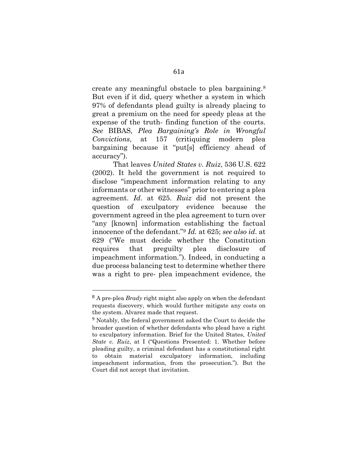create any meaningful obstacle to plea bargaining. 8 But even if it did, query whether a system in which 97% of defendants plead guilty is already placing to great a premium on the need for speedy pleas at the expense of the truth- finding function of the courts. *See* BIBAS*, Plea Bargaining's Role in Wrongful Convictions*, at 157 (critiquing modern plea bargaining because it "put[s] efficiency ahead of accuracy").

That leaves *United States v. Ruiz*, 536 U.S. 622 (2002). It held the government is not required to disclose "impeachment information relating to any informants or other witnesses" prior to entering a plea agreement. *Id*. at 625. *Ruiz* did not present the question of exculpatory evidence because the government agreed in the plea agreement to turn over "any [known] information establishing the factual innocence of the defendant."<sup>9</sup> *Id.* at 625; *see also id*. at 629 ("We must decide whether the Constitution requires that preguilty plea disclosure of impeachment information."). Indeed, in conducting a due process balancing test to determine whether there was a right to pre- plea impeachment evidence, the

<sup>8</sup> A pre-plea *Brady* right might also apply on when the defendant requests discovery, which would further mitigate any costs on the system. Alvarez made that request.

<sup>9</sup> Notably, the federal government asked the Court to decide the broader question of whether defendants who plead have a right to exculpatory information. Brief for the United States*, United State v. Ruiz*, at I ("Questions Presented: 1. Whether before pleading guilty, a criminal defendant has a constitutional right to obtain material exculpatory information, including impeachment information, from the prosecution."). But the Court did not accept that invitation.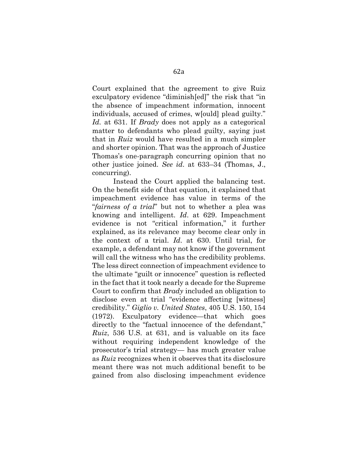Court explained that the agreement to give Ruiz exculpatory evidence "diminish[ed]" the risk that "in the absence of impeachment information, innocent individuals, accused of crimes, w[ould] plead guilty." *Id.* at 631. If *Brady* does not apply as a categorical matter to defendants who plead guilty, saying just that in *Ruiz* would have resulted in a much simpler and shorter opinion. That was the approach of Justice Thomas's one-paragraph concurring opinion that no other justice joined. *See id*. at 633–34 (Thomas, J., concurring).

Instead the Court applied the balancing test. On the benefit side of that equation, it explained that impeachment evidence has value in terms of the "*fairness of a trial*" but not to whether a plea was knowing and intelligent. *Id*. at 629. Impeachment evidence is not "critical information," it further explained, as its relevance may become clear only in the context of a trial. *Id*. at 630. Until trial, for example, a defendant may not know if the government will call the witness who has the credibility problems. The less direct connection of impeachment evidence to the ultimate "guilt or innocence" question is reflected in the fact that it took nearly a decade for the Supreme Court to confirm that *Brady* included an obligation to disclose even at trial "evidence affecting [witness] credibility." *Giglio v. United States*, 405 U.S. 150, 154 (1972). Exculpatory evidence—that which goes directly to the "factual innocence of the defendant," *Ruiz*, 536 U.S. at 631, and is valuable on its face without requiring independent knowledge of the prosecutor's trial strategy— has much greater value as *Ruiz* recognizes when it observes that its disclosure meant there was not much additional benefit to be gained from also disclosing impeachment evidence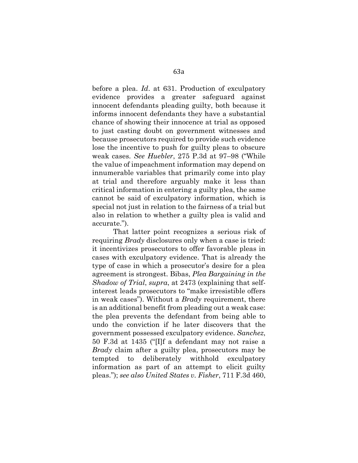before a plea. *Id*. at 631. Production of exculpatory evidence provides a greater safeguard against innocent defendants pleading guilty, both because it informs innocent defendants they have a substantial chance of showing their innocence at trial as opposed to just casting doubt on government witnesses and because prosecutors required to provide such evidence lose the incentive to push for guilty pleas to obscure weak cases. *See Huebler*, 275 P.3d at 97–98 ("While the value of impeachment information may depend on innumerable variables that primarily come into play at trial and therefore arguably make it less than critical information in entering a guilty plea, the same cannot be said of exculpatory information, which is special not just in relation to the fairness of a trial but also in relation to whether a guilty plea is valid and accurate.").

That latter point recognizes a serious risk of requiring *Brady* disclosures only when a case is tried: it incentivizes prosecutors to offer favorable pleas in cases with exculpatory evidence. That is already the type of case in which a prosecutor's desire for a plea agreement is strongest. Bibas, *Plea Bargaining in the Shadow of Trial*, *supra*, at 2473 (explaining that selfinterest leads prosecutors to "make irresistible offers in weak cases"). Without a *Brady* requirement, there is an additional benefit from pleading out a weak case: the plea prevents the defendant from being able to undo the conviction if he later discovers that the government possessed exculpatory evidence. *Sanchez*, 50 F.3d at 1435 ("[I]f a defendant may not raise a *Brady* claim after a guilty plea, prosecutors may be tempted to deliberately withhold exculpatory information as part of an attempt to elicit guilty pleas."); *see also United States v. Fisher*, 711 F.3d 460,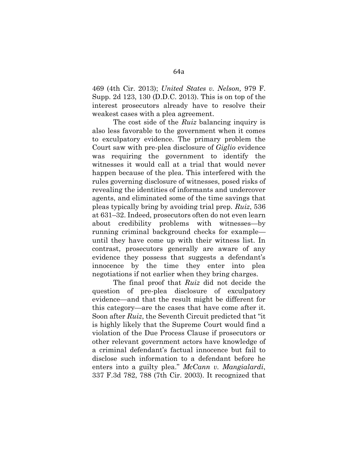469 (4th Cir. 2013); *United States v. Nelson,* 979 F. Supp. 2d 123, 130 (D.D.C. 2013). This is on top of the interest prosecutors already have to resolve their weakest cases with a plea agreement.

The cost side of the *Ruiz* balancing inquiry is also less favorable to the government when it comes to exculpatory evidence. The primary problem the Court saw with pre-plea disclosure of *Giglio* evidence was requiring the government to identify the witnesses it would call at a trial that would never happen because of the plea. This interfered with the rules governing disclosure of witnesses, posed risks of revealing the identities of informants and undercover agents, and eliminated some of the time savings that pleas typically bring by avoiding trial prep. *Ruiz*, 536 at 631–32. Indeed, prosecutors often do not even learn about credibility problems with witnesses—by running criminal background checks for example until they have come up with their witness list. In contrast, prosecutors generally are aware of any evidence they possess that suggests a defendant's innocence by the time they enter into plea negotiations if not earlier when they bring charges.

The final proof that *Ruiz* did not decide the question of pre-plea disclosure of exculpatory evidence—and that the result might be different for this category—are the cases that have come after it. Soon after *Ruiz*, the Seventh Circuit predicted that "it is highly likely that the Supreme Court would find a violation of the Due Process Clause if prosecutors or other relevant government actors have knowledge of a criminal defendant's factual innocence but fail to disclose such information to a defendant before he enters into a guilty plea." *McCann v. Mangialardi*, 337 F.3d 782, 788 (7th Cir. 2003). It recognized that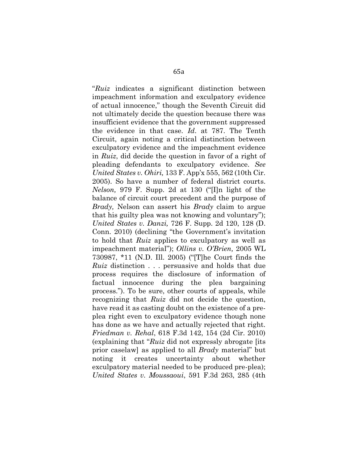"*Ruiz* indicates a significant distinction between impeachment information and exculpatory evidence of actual innocence," though the Seventh Circuit did not ultimately decide the question because there was insufficient evidence that the government suppressed the evidence in that case. *Id*. at 787. The Tenth Circuit, again noting a critical distinction between exculpatory evidence and the impeachment evidence in *Ruiz*, did decide the question in favor of a right of pleading defendants to exculpatory evidence. *See United States v. Ohiri,* 133 F. App'x 555, 562 (10th Cir. 2005). So have a number of federal district courts. *Nelson,* 979 F. Supp. 2d at 130 ("[I]n light of the balance of circuit court precedent and the purpose of *Brady,* Nelson can assert his *Brady* claim to argue that his guilty plea was not knowing and voluntary"); *United States v. Danzi,* 726 F. Supp. 2d 120, 128 (D. Conn. 2010) (declining "the Government's invitation to hold that *Ruiz* applies to exculpatory as well as impeachment material"); *Ollins v. O'Brien,* 2005 WL 730987, \*11 (N.D. Ill. 2005) ("[T]he Court finds the *Ruiz* distinction . . . persuasive and holds that due process requires the disclosure of information of factual innocence during the plea bargaining process."). To be sure, other courts of appeals, while recognizing that *Ruiz* did not decide the question, have read it as casting doubt on the existence of a preplea right even to exculpatory evidence though none has done as we have and actually rejected that right. *Friedman v. Rehal*, 618 F.3d 142, 154 (2d Cir. 2010) (explaining that "*Ruiz* did not expressly abrogate [its prior caselaw] as applied to all *Brady* material" but noting it creates uncertainty about whether exculpatory material needed to be produced pre-plea); *United States v. Moussaoui*, 591 F.3d 263, 285 (4th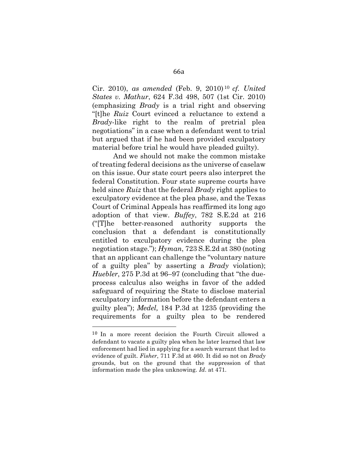Cir. 2010), *as amended* (Feb. 9, 2010) <sup>10</sup> *cf. United States v. Mathur*, 624 F.3d 498, 507 (1st Cir. 2010) (emphasizing *Brady* is a trial right and observing "[t]he *Ruiz* Court evinced a reluctance to extend a *Brady*-like right to the realm of pretrial plea negotiations" in a case when a defendant went to trial but argued that if he had been provided exculpatory material before trial he would have pleaded guilty).

And we should not make the common mistake of treating federal decisions as the universe of caselaw on this issue. Our state court peers also interpret the federal Constitution. Four state supreme courts have held since *Ruiz* that the federal *Brady* right applies to exculpatory evidence at the plea phase, and the Texas Court of Criminal Appeals has reaffirmed its long ago adoption of that view. *Buffey*, 782 S.E.2d at 216 ("[T]he better-reasoned authority supports the conclusion that a defendant is constitutionally entitled to exculpatory evidence during the plea negotiation stage."); *Hyman*, 723 S.E.2d at 380 (noting that an applicant can challenge the "voluntary nature of a guilty plea" by asserting a *Brady* violation); *Huebler*, 275 P.3d at 96–97 (concluding that "the dueprocess calculus also weighs in favor of the added safeguard of requiring the State to disclose material exculpatory information before the defendant enters a guilty plea"); *Medel,* 184 P.3d at 1235 (providing the requirements for a guilty plea to be rendered

<sup>10</sup> In a more recent decision the Fourth Circuit allowed a defendant to vacate a guilty plea when he later learned that law enforcement had lied in applying for a search warrant that led to evidence of guilt. *Fisher*, 711 F.3d at 460. It did so not on *Brady* grounds, but on the ground that the suppression of that information made the plea unknowing. *Id*. at 471.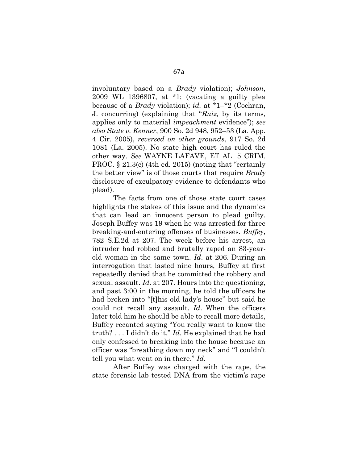involuntary based on a *Brady* violation); *Johnson*, 2009 WL 1396807, at \*1; (vacating a guilty plea because of a *Brady* violation); *id.* at \*1–\*2 (Cochran, J. concurring) (explaining that "*Ruiz,* by its terms, applies only to material *impeachment* evidence"); *see also State v. Kenner*, 900 So. 2d 948, 952–53 (La. App. 4 Cir. 2005), *reversed on other grounds*, 917 So. 2d 1081 (La. 2005). No state high court has ruled the other way. *See* WAYNE LAFAVE, ET AL. 5 CRIM. PROC. § 21.3(c) (4th ed. 2015) (noting that "certainly the better view" is of those courts that require *Brady*  disclosure of exculpatory evidence to defendants who plead).

The facts from one of those state court cases highlights the stakes of this issue and the dynamics that can lead an innocent person to plead guilty. Joseph Buffey was 19 when he was arrested for three breaking-and-entering offenses of businesses. *Buffey*, 782 S.E.2d at 207. The week before his arrest, an intruder had robbed and brutally raped an 83-yearold woman in the same town. *Id*. at 206. During an interrogation that lasted nine hours, Buffey at first repeatedly denied that he committed the robbery and sexual assault. *Id*. at 207. Hours into the questioning, and past 3:00 in the morning, he told the officers he had broken into "[t]his old lady's house" but said he could not recall any assault. *Id*. When the officers later told him he should be able to recall more details, Buffey recanted saying "You really want to know the truth? . . . I didn't do it." *Id*. He explained that he had only confessed to breaking into the house because an officer was "breathing down my neck" and "I couldn't tell you what went on in there." *Id*.

After Buffey was charged with the rape, the state forensic lab tested DNA from the victim's rape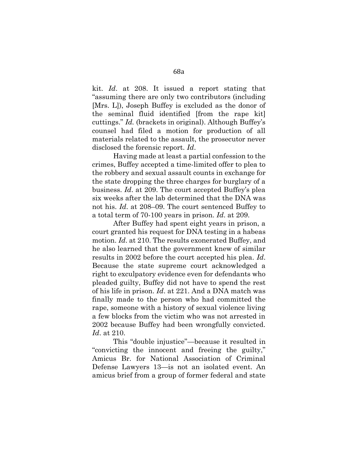kit. *Id*. at 208. It issued a report stating that "assuming there are only two contributors (including [Mrs. L]), Joseph Buffey is excluded as the donor of the seminal fluid identified [from the rape kit] cuttings." *Id.* (brackets in original). Although Buffey's counsel had filed a motion for production of all materials related to the assault, the prosecutor never disclosed the forensic report. *Id*.

Having made at least a partial confession to the crimes, Buffey accepted a time-limited offer to plea to the robbery and sexual assault counts in exchange for the state dropping the three charges for burglary of a business. *Id*. at 209. The court accepted Buffey's plea six weeks after the lab determined that the DNA was not his. *Id*. at 208–09. The court sentenced Buffey to a total term of 70-100 years in prison. *Id*. at 209.

After Buffey had spent eight years in prison, a court granted his request for DNA testing in a habeas motion. *Id*. at 210. The results exonerated Buffey, and he also learned that the government knew of similar results in 2002 before the court accepted his plea. *Id*. Because the state supreme court acknowledged a right to exculpatory evidence even for defendants who pleaded guilty, Buffey did not have to spend the rest of his life in prison. *Id*. at 221. And a DNA match was finally made to the person who had committed the rape, someone with a history of sexual violence living a few blocks from the victim who was not arrested in 2002 because Buffey had been wrongfully convicted. *Id*. at 210.

This "double injustice"—because it resulted in "convicting the innocent and freeing the guilty," Amicus Br. for National Association of Criminal Defense Lawyers 13—is not an isolated event. An amicus brief from a group of former federal and state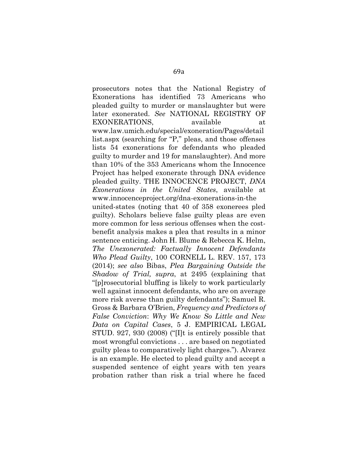prosecutors notes that the National Registry of Exonerations has identified 73 Americans who pleaded guilty to murder or manslaughter but were later exonerated. *See* NATIONAL REGISTRY OF EXONERATIONS, available at www.law.umich.edu/special/exoneration/Pages/detail list.aspx (searching for "P," pleas, and those offenses lists 54 exonerations for defendants who pleaded guilty to murder and 19 for manslaughter). And more than 10% of the 353 Americans whom the Innocence Project has helped exonerate through DNA evidence pleaded guilty. THE INNOCENCE PROJECT, *DNA Exonerations in the United States*, available at www.innocenceproject.org/dna-exonerations-in-the united-states (noting that 40 of 358 exonerees pled guilty). Scholars believe false guilty pleas are even more common for less serious offenses when the costbenefit analysis makes a plea that results in a minor sentence enticing. John H. Blume & Rebecca K. Helm, *The Unexonerated: Factually Innocent Defendants Who Plead Guilty*, 100 CORNELL L. REV. 157, 173 (2014); *see also* Bibas, *Plea Bargaining Outside the Shadow of Trial, supra*, at 2495 (explaining that "[p]rosecutorial bluffing is likely to work particularly well against innocent defendants, who are on average more risk averse than guilty defendants"); Samuel R. Gross & Barbara O'Brien, *Frequency and Predictors of False Conviction*: *Why We Know So Little and New Data on Capital Cases*, 5 J. EMPIRICAL LEGAL STUD. 927, 930 (2008) ("[I]t is entirely possible that most wrongful convictions . . . are based on negotiated guilty pleas to comparatively light charges."). Alvarez is an example. He elected to plead guilty and accept a suspended sentence of eight years with ten years probation rather than risk a trial where he faced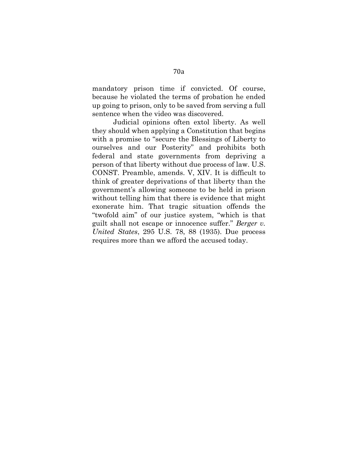mandatory prison time if convicted. Of course, because he violated the terms of probation he ended up going to prison, only to be saved from serving a full sentence when the video was discovered.

Judicial opinions often extol liberty. As well they should when applying a Constitution that begins with a promise to "secure the Blessings of Liberty to ourselves and our Posterity" and prohibits both federal and state governments from depriving a person of that liberty without due process of law. U.S. CONST. Preamble, amends. V, XIV. It is difficult to think of greater deprivations of that liberty than the government's allowing someone to be held in prison without telling him that there is evidence that might exonerate him. That tragic situation offends the "twofold aim" of our justice system, "which is that guilt shall not escape or innocence suffer." *Berger v. United States*, 295 U.S. 78, 88 (1935). Due process requires more than we afford the accused today.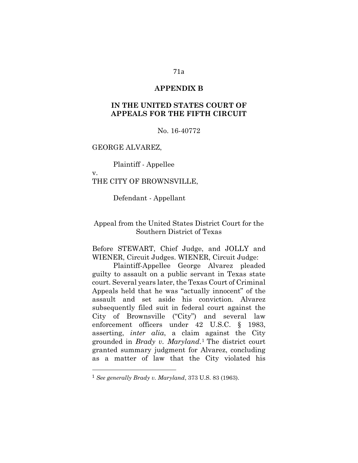#### **APPENDIX B**

# **IN THE UNITED STATES COURT OF APPEALS FOR THE FIFTH CIRCUIT**

#### No. 16-40772

#### GEORGE ALVAREZ,

Plaintiff - Appellee

v.

 $\overline{\phantom{a}}$ 

# THE CITY OF BROWNSVILLE,

Defendant - Appellant

# Appeal from the United States District Court for the Southern District of Texas

Before STEWART, Chief Judge, and JOLLY and WIENER, Circuit Judges. WIENER, Circuit Judge:

Plaintiff-Appellee George Alvarez pleaded guilty to assault on a public servant in Texas state court. Several years later, the Texas Court of Criminal Appeals held that he was "actually innocent" of the assault and set aside his conviction. Alvarez subsequently filed suit in federal court against the City of Brownsville ("City") and several law enforcement officers under 42 U.S.C. § 1983, asserting, *inter alia*, a claim against the City grounded in *Brady v. Maryland*. <sup>1</sup> The district court granted summary judgment for Alvarez, concluding as a matter of law that the City violated his

<sup>1</sup> *See generally Brady v. Maryland*, 373 U.S. 83 (1963).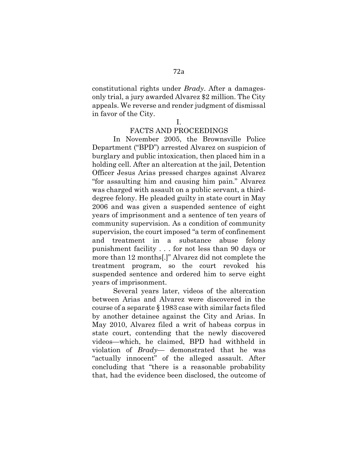constitutional rights under *Brady*. After a damagesonly trial, a jury awarded Alvarez \$2 million. The City appeals. We reverse and render judgment of dismissal in favor of the City.

# I.

#### FACTS AND PROCEEDINGS

In November 2005, the Brownsville Police Department ("BPD") arrested Alvarez on suspicion of burglary and public intoxication, then placed him in a holding cell. After an altercation at the jail, Detention Officer Jesus Arias pressed charges against Alvarez "for assaulting him and causing him pain." Alvarez was charged with assault on a public servant, a thirddegree felony. He pleaded guilty in state court in May 2006 and was given a suspended sentence of eight years of imprisonment and a sentence of ten years of community supervision. As a condition of community supervision, the court imposed "a term of confinement and treatment in a substance abuse felony punishment facility . . . for not less than 90 days or more than 12 months[.]" Alvarez did not complete the treatment program, so the court revoked his suspended sentence and ordered him to serve eight years of imprisonment.

Several years later, videos of the altercation between Arias and Alvarez were discovered in the course of a separate § 1983 case with similar facts filed by another detainee against the City and Arias. In May 2010, Alvarez filed a writ of habeas corpus in state court, contending that the newly discovered videos—which, he claimed, BPD had withheld in violation of *Brady*— demonstrated that he was "actually innocent" of the alleged assault. After concluding that "there is a reasonable probability that, had the evidence been disclosed, the outcome of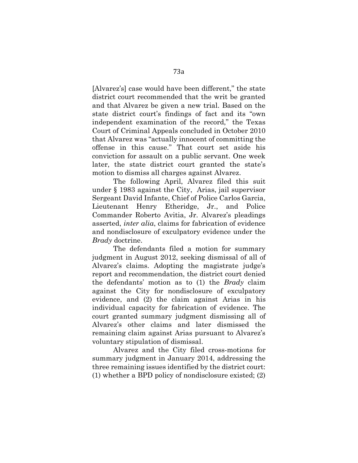[Alvarez's] case would have been different," the state district court recommended that the writ be granted and that Alvarez be given a new trial. Based on the state district court's findings of fact and its "own independent examination of the record," the Texas Court of Criminal Appeals concluded in October 2010 that Alvarez was "actually innocent of committing the offense in this cause." That court set aside his conviction for assault on a public servant. One week later, the state district court granted the state's motion to dismiss all charges against Alvarez.

The following April, Alvarez filed this suit under § 1983 against the City, Arias, jail supervisor Sergeant David Infante, Chief of Police Carlos Garcia, Lieutenant Henry Etheridge, Jr., and Police Commander Roberto Avitia, Jr. Alvarez's pleadings asserted, *inter alia*, claims for fabrication of evidence and nondisclosure of exculpatory evidence under the *Brady* doctrine.

The defendants filed a motion for summary judgment in August 2012, seeking dismissal of all of Alvarez's claims. Adopting the magistrate judge's report and recommendation, the district court denied the defendants' motion as to (1) the *Brady* claim against the City for nondisclosure of exculpatory evidence, and (2) the claim against Arias in his individual capacity for fabrication of evidence. The court granted summary judgment dismissing all of Alvarez's other claims and later dismissed the remaining claim against Arias pursuant to Alvarez's voluntary stipulation of dismissal.

Alvarez and the City filed cross-motions for summary judgment in January 2014, addressing the three remaining issues identified by the district court: (1) whether a BPD policy of nondisclosure existed; (2)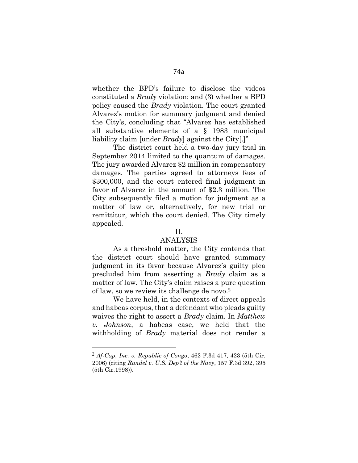whether the BPD's failure to disclose the videos constituted a *Brady* violation; and (3) whether a BPD policy caused the *Brady* violation. The court granted Alvarez's motion for summary judgment and denied the City's, concluding that "Alvarez has established all substantive elements of a § 1983 municipal liability claim [under *Brady*] against the City[.]"

The district court held a two-day jury trial in September 2014 limited to the quantum of damages. The jury awarded Alvarez \$2 million in compensatory damages. The parties agreed to attorneys fees of \$300,000, and the court entered final judgment in favor of Alvarez in the amount of \$2.3 million. The City subsequently filed a motion for judgment as a matter of law or, alternatively, for new trial or remittitur, which the court denied. The City timely appealed.

#### II.

### ANALYSIS

As a threshold matter, the City contends that the district court should have granted summary judgment in its favor because Alvarez's guilty plea precluded him from asserting a *Brady* claim as a matter of law. The City's claim raises a pure question of law, so we review its challenge de novo. 2

We have held, in the contexts of direct appeals and habeas corpus, that a defendant who pleads guilty waives the right to assert a *Brady* claim. In *Matthew v. Johnson*, a habeas case, we held that the withholding of *Brady* material does not render a

<sup>2</sup> *Af-Cap, Inc. v. Republic of Congo*, 462 F.3d 417, 423 (5th Cir. 2006) (citing *Randel v. U.S. Dep't of the Navy*, 157 F.3d 392, 395 (5th Cir.1998)).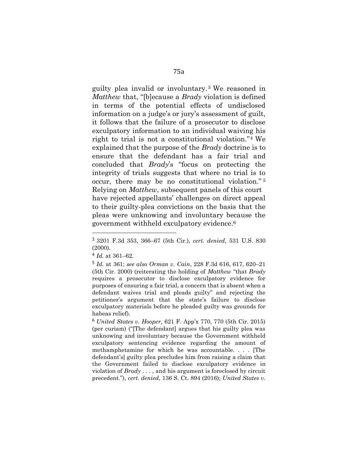guilty plea invalid or involuntary. <sup>3</sup> We reasoned in *Matthew* that, "[b]ecause a *Brady* violation is defined in terms of the potential effects of undisclosed information on a judge's or jury's assessment of guilt, it follows that the failure of a prosecutor to disclose exculpatory information to an individual waiving his right to trial is not a constitutional violation."<sup>4</sup> We explained that the purpose of the *Brady* doctrine is to ensure that the defendant has a fair trial and concluded that *Brady*'s "focus on protecting the integrity of trials suggests that where no trial is to occur, there may be no constitutional violation." <sup>5</sup> Relying on *Matthew*, subsequent panels of this court have rejected appellants' challenges on direct appeal to their guilty-plea convictions on the basis that the pleas were unknowing and involuntary because the government withheld exculpatory evidence. 6

<sup>3</sup> 3201 F.3d 353, 366–67 (5th Cir.), *cert. denied*, 531 U.S. 830 (2000).

<sup>4</sup> *Id.* at 361–62.

<sup>5</sup> *Id.* at 361; *see also Orman v. Cain*, 228 F.3d 616, 617, 620–21 (5th Cir. 2000) (reiterating the holding of *Matthew* "that *Brady*  requires a prosecutor to disclose exculpatory evidence for purposes of ensuring a fair trial, a concern that is absent when a defendant waives trial and pleads guilty" and rejecting the petitioner's argument that the state's failure to disclose exculpatory materials before he pleaded guilty was grounds for habeas relief).

<sup>6</sup> *United States v. Hooper*, 621 F. App'x 770, 770 (5th Cir. 2015) (per curiam) ("[The defendant] argues that his guilty plea was unknowing and involuntary because the Government withheld exculpatory sentencing evidence regarding the amount of methamphetamine for which he was accountable. . . . [The defendant's] guilty plea precludes him from raising a claim that the Government failed to disclose exculpatory evidence in violation of *Brady* . . . , and his argument is foreclosed by circuit precedent."), *cert. denied*, 136 S. Ct. 894 (2016); *United States v.*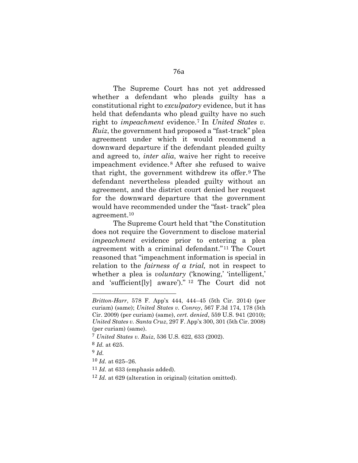The Supreme Court has not yet addressed whether a defendant who pleads guilty has a constitutional right to *exculpatory* evidence, but it has held that defendants who plead guilty have no such right to *impeachment* evidence.<sup>7</sup> In *United States v. Ruiz*, the government had proposed a "fast-track" plea agreement under which it would recommend a downward departure if the defendant pleaded guilty and agreed to, *inter alia*, waive her right to receive impeachment evidence. <sup>8</sup> After she refused to waive that right, the government withdrew its offer. <sup>9</sup> The defendant nevertheless pleaded guilty without an agreement, and the district court denied her request for the downward departure that the government would have recommended under the "fast- track" plea agreement.<sup>10</sup>

The Supreme Court held that "the Constitution does not require the Government to disclose material *impeachment* evidence prior to entering a plea agreement with a criminal defendant."<sup>11</sup> The Court reasoned that "impeachment information is special in relation to the *fairness of a trial,* not in respect to whether a plea is *voluntary* ('knowing,' 'intelligent,' and 'sufficient[ly] aware')." <sup>12</sup> The Court did not

*Britton-Harr*, 578 F. App'x 444, 444–45 (5th Cir. 2014) (per curiam) (same); *United States v. Conroy*, 567 F.3d 174, 178 (5th Cir. 2009) (per curiam) (same), *cert. denied*, 559 U.S. 941 (2010); *United States v. Santa Cruz*, 297 F. App'x 300, 301 (5th Cir. 2008) (per curiam) (same).

<sup>7</sup> *United States v. Ruiz*, 536 U.S. 622, 633 (2002).

<sup>8</sup> *Id.* at 625.

<sup>9</sup> *Id.*

<sup>10</sup> *Id.* at 625–26.

<sup>11</sup> *Id.* at 633 (emphasis added).

<sup>12</sup> *Id.* at 629 (alteration in original) (citation omitted).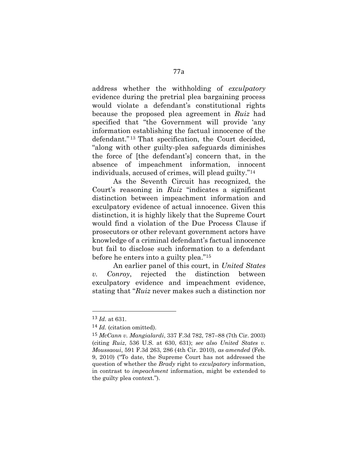address whether the withholding of *exculpatory*  evidence during the pretrial plea bargaining process would violate a defendant's constitutional rights because the proposed plea agreement in *Ruiz* had specified that "the Government will provide 'any information establishing the factual innocence of the defendant." <sup>13</sup> That specification, the Court decided, "along with other guilty-plea safeguards diminishes the force of [the defendant's] concern that, in the absence of impeachment information, innocent individuals, accused of crimes, will plead guilty."<sup>14</sup>

As the Seventh Circuit has recognized, the Court's reasoning in *Ruiz* "indicates a significant distinction between impeachment information and exculpatory evidence of actual innocence. Given this distinction, it is highly likely that the Supreme Court would find a violation of the Due Process Clause if prosecutors or other relevant government actors have knowledge of a criminal defendant's factual innocence but fail to disclose such information to a defendant before he enters into a guilty plea."<sup>15</sup>

An earlier panel of this court, in *United States v. Conroy*, rejected the distinction between exculpatory evidence and impeachment evidence, stating that "*Ruiz* never makes such a distinction nor

l

<sup>13</sup> *Id.* at 631.

<sup>14</sup> *Id.* (citation omitted).

<sup>15</sup> *McCann v. Mangialardi*, 337 F.3d 782, 787–88 (7th Cir. 2003) (citing *Ruiz*, 536 U.S. at 630, 631); *see also United States v. Moussaoui*, 591 F.3d 263, 286 (4th Cir. 2010), *as amended* (Feb. 9, 2010) ("To date, the Supreme Court has not addressed the question of whether the *Brady* right to *exculpatory* information, in contrast to *impeachment* information, might be extended to the guilty plea context.").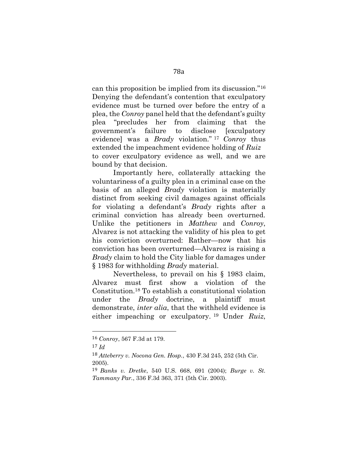can this proposition be implied from its discussion."<sup>16</sup> Denying the defendant's contention that exculpatory evidence must be turned over before the entry of a plea, the *Conroy* panel held that the defendant's guilty plea "precludes her from claiming that the government's failure to disclose [exculpatory evidence] was a *Brady* violation." <sup>17</sup> *Conroy* thus extended the impeachment evidence holding of *Ruiz*  to cover exculpatory evidence as well, and we are bound by that decision.

Importantly here, collaterally attacking the voluntariness of a guilty plea in a criminal case on the basis of an alleged *Brady* violation is materially distinct from seeking civil damages against officials for violating a defendant's *Brady* rights after a criminal conviction has already been overturned. Unlike the petitioners in *Matthew* and *Conroy*, Alvarez is not attacking the validity of his plea to get his conviction overturned: Rather—now that his conviction has been overturned—Alvarez is raising a *Brady* claim to hold the City liable for damages under § 1983 for withholding *Brady* material.

Nevertheless, to prevail on his § 1983 claim, Alvarez must first show a violation of the Constitution.<sup>18</sup> To establish a constitutional violation under the *Brady* doctrine, a plaintiff must demonstrate, *inter alia*, that the withheld evidence is either impeaching or exculpatory. <sup>19</sup> Under *Ruiz*,

<sup>16</sup> *Conroy*, 567 F.3d at 179.

<sup>17</sup> *Id*

<sup>18</sup> *Atteberry v. Nocona Gen. Hosp.*, 430 F.3d 245, 252 (5th Cir. 2005).

<sup>19</sup> *Banks v. Dretke*, 540 U.S. 668, 691 (2004); *Burge v. St. Tammany Par.*, 336 F.3d 363, 371 (5th Cir. 2003).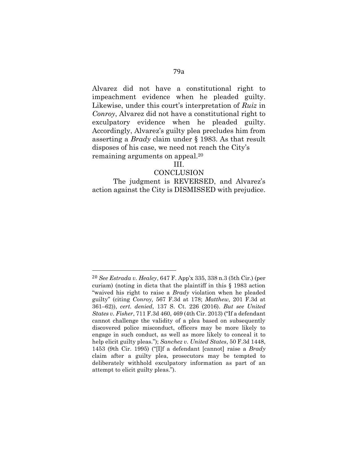Alvarez did not have a constitutional right to impeachment evidence when he pleaded guilty. Likewise, under this court's interpretation of *Ruiz* in *Conroy*, Alvarez did not have a constitutional right to exculpatory evidence when he pleaded guilty.

Accordingly, Alvarez's guilty plea precludes him from asserting a *Brady* claim under § 1983. As that result disposes of his case, we need not reach the City's remaining arguments on appeal.<sup>20</sup>

## III.

#### CONCLUSION

The judgment is REVERSED, and Alvarez's action against the City is DISMISSED with prejudice.

l

<sup>20</sup> *See Estrada v. Healey*, 647 F. App'x 335, 338 n.3 (5th Cir.) (per curiam) (noting in dicta that the plaintiff in this § 1983 action "waived his right to raise a *Brady* violation when he pleaded guilty" (citing *Conroy,* 567 F.3d at 178; *Matthew,* 201 F.3d at 361–62)), *cert. denied*, 137 S. Ct. 226 (2016). *But see United States v. Fisher*, 711 F.3d 460, 469 (4th Cir. 2013) ("If a defendant cannot challenge the validity of a plea based on subsequently discovered police misconduct, officers may be more likely to engage in such conduct, as well as more likely to conceal it to help elicit guilty pleas."); *Sanchez v. United States*, 50 F.3d 1448, 1453 (9th Cir. 1995) ("[I]f a defendant [cannot] raise a *Brady*  claim after a guilty plea, prosecutors may be tempted to deliberately withhold exculpatory information as part of an attempt to elicit guilty pleas.").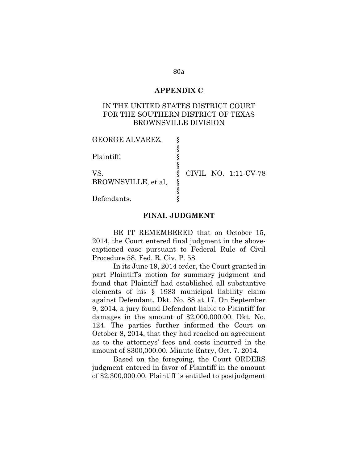# **APPENDIX C**

# IN THE UNITED STATES DISTRICT COURT FOR THE SOUTHERN DISTRICT OF TEXAS BROWNSVILLE DIVISION

| <b>GEORGE ALVAREZ,</b> |  |                      |
|------------------------|--|----------------------|
| Plaintiff,             |  |                      |
|                        |  |                      |
| VS.                    |  | CIVIL NO. 1:11-CV-78 |
| BROWNSVILLE, et al.    |  |                      |
|                        |  |                      |
| Defendants.            |  |                      |

#### **FINAL JUDGMENT**

BE IT REMEMBERED that on October 15, 2014, the Court entered final judgment in the abovecaptioned case pursuant to Federal Rule of Civil Procedure 58. Fed. R. Civ. P. 58.

In its June 19, 2014 order, the Court granted in part Plaintiff's motion for summary judgment and found that Plaintiff had established all substantive elements of his § 1983 municipal liability claim against Defendant. Dkt. No. 88 at 17. On September 9, 2014, a jury found Defendant liable to Plaintiff for damages in the amount of \$2,000,000.00. Dkt. No. 124. The parties further informed the Court on October 8, 2014, that they had reached an agreement as to the attorneys' fees and costs incurred in the amount of \$300,000.00. Minute Entry, Oct. 7. 2014.

Based on the foregoing, the Court ORDERS judgment entered in favor of Plaintiff in the amount of \$2,300,000.00. Plaintiff is entitled to postjudgment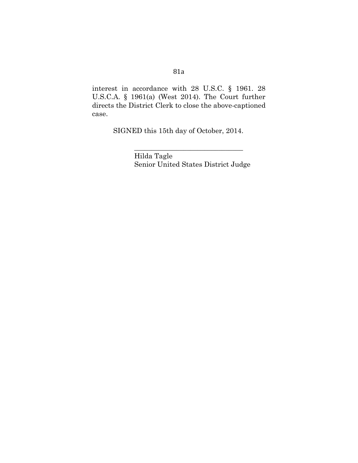interest in accordance with 28 U.S.C. § 1961. 28 U.S.C.A. § 1961(a) (West 2014). The Court further directs the District Clerk to close the above-captioned

SIGNED this 15th day of October, 2014.

case.

Hilda Tagle Senior United States District Judge

\_\_\_\_\_\_\_\_\_\_\_\_\_\_\_\_\_\_\_\_\_\_\_\_\_\_\_\_\_\_\_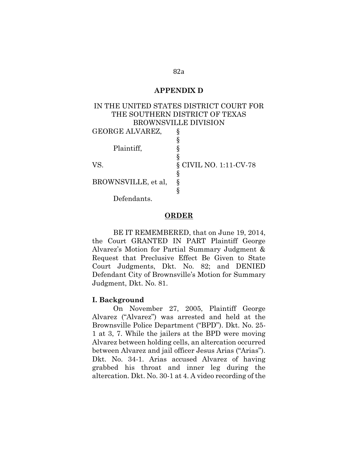# **APPENDIX D**

|                             | IN THE UNITED STATES DISTRICT COURT FOR |  |  |
|-----------------------------|-----------------------------------------|--|--|
|                             | THE SOUTHERN DISTRICT OF TEXAS          |  |  |
| <b>BROWNSVILLE DIVISION</b> |                                         |  |  |
| <b>GEORGE ALVAREZ,</b>      |                                         |  |  |
|                             |                                         |  |  |
| Plaintiff,                  |                                         |  |  |
|                             |                                         |  |  |
| VS.                         | § CIVIL NO. 1:11-CV-78                  |  |  |
|                             |                                         |  |  |
| BROWNSVILLE, et al.         |                                         |  |  |
|                             |                                         |  |  |
| Defendants.                 |                                         |  |  |

#### **ORDER**

BE IT REMEMBERED, that on June 19, 2014, the Court GRANTED IN PART Plaintiff George Alvarez's Motion for Partial Summary Judgment & Request that Preclusive Effect Be Given to State Court Judgments, Dkt. No. 82; and DENIED Defendant City of Brownsville's Motion for Summary Judgment, Dkt. No. 81.

### **I. Background**

On November 27, 2005, Plaintiff George Alvarez ("Alvarez") was arrested and held at the Brownsville Police Department ("BPD"). Dkt. No. 25- 1 at 3, 7. While the jailers at the BPD were moving Alvarez between holding cells, an altercation occurred between Alvarez and jail officer Jesus Arias ("Arias"). Dkt. No. 34-1. Arias accused Alvarez of having grabbed his throat and inner leg during the altercation. Dkt. No. 30-1 at 4. A video recording of the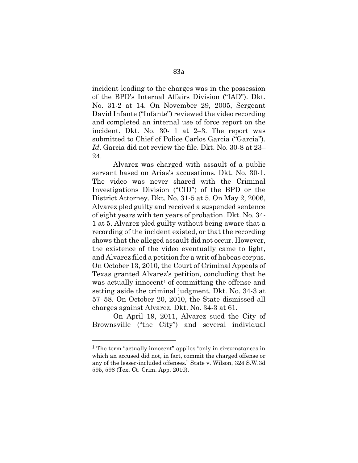incident leading to the charges was in the possession of the BPD's Internal Affairs Division ("IAD"). Dkt. No. 31-2 at 14. On November 29, 2005, Sergeant David Infante ("Infante") reviewed the video recording and completed an internal use of force report on the incident. Dkt. No. 30- 1 at 2–3. The report was submitted to Chief of Police Carlos Garcia ("Garcia"). *Id*. Garcia did not review the file. Dkt. No. 30-8 at 23– 24.

Alvarez was charged with assault of a public servant based on Arias's accusations. Dkt. No. 30-1. The video was never shared with the Criminal Investigations Division ("CID") of the BPD or the District Attorney. Dkt. No. 31-5 at 5. On May 2, 2006, Alvarez pled guilty and received a suspended sentence of eight years with ten years of probation. Dkt. No. 34- 1 at 5. Alvarez pled guilty without being aware that a recording of the incident existed, or that the recording shows that the alleged assault did not occur. However, the existence of the video eventually came to light, and Alvarez filed a petition for a writ of habeas corpus. On October 13, 2010, the Court of Criminal Appeals of Texas granted Alvarez's petition, concluding that he was actually innocent<sup>1</sup> of committing the offense and setting aside the criminal judgment. Dkt. No. 34-3 at 57–58. On October 20, 2010, the State dismissed all charges against Alvarez. Dkt. No. 34-3 at 61.

On April 19, 2011, Alvarez sued the City of Brownsville ("the City") and several individual

<sup>1</sup> The term "actually innocent" applies "only in circumstances in which an accused did not, in fact, commit the charged offense or any of the lesser-included offenses." State v. Wilson, 324 S.W.3d 595, 598 (Tex. Ct. Crim. App. 2010).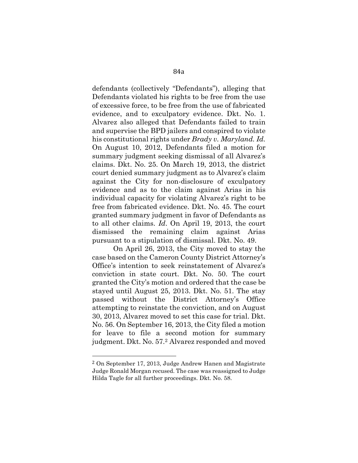defendants (collectively "Defendants"), alleging that Defendants violated his rights to be free from the use of excessive force, to be free from the use of fabricated evidence, and to exculpatory evidence. Dkt. No. 1. Alvarez also alleged that Defendants failed to train and supervise the BPD jailers and conspired to violate his constitutional rights under *Brady v. Maryland. Id.*  On August 10, 2012, Defendants filed a motion for summary judgment seeking dismissal of all Alvarez's claims. Dkt. No. 25. On March 19, 2013, the district court denied summary judgment as to Alvarez's claim against the City for non-disclosure of exculpatory evidence and as to the claim against Arias in his individual capacity for violating Alvarez's right to be free from fabricated evidence. Dkt. No. 45. The court granted summary judgment in favor of Defendants as to all other claims. *Id*. On April 19, 2013, the court dismissed the remaining claim against Arias pursuant to a stipulation of dismissal. Dkt. No. 49.

On April 26, 2013, the City moved to stay the case based on the Cameron County District Attorney's Office's intention to seek reinstatement of Alvarez's conviction in state court. Dkt. No. 50. The court granted the City's motion and ordered that the case be stayed until August 25, 2013. Dkt. No. 51. The stay passed without the District Attorney's Office attempting to reinstate the conviction, and on August 30, 2013, Alvarez moved to set this case for trial. Dkt. No. 56. On September 16, 2013, the City filed a motion for leave to file a second motion for summary judgment. Dkt. No. 57.<sup>2</sup> Alvarez responded and moved

<sup>2</sup> On September 17, 2013, Judge Andrew Hanen and Magistrate Judge Ronald Morgan recused. The case was reassigned to Judge Hilda Tagle for all further proceedings. Dkt. No. 58.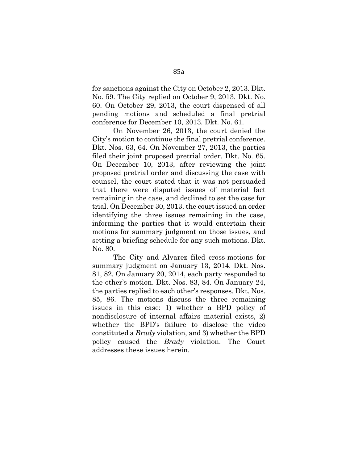for sanctions against the City on October 2, 2013. Dkt. No. 59. The City replied on October 9, 2013. Dkt. No. 60. On October 29, 2013, the court dispensed of all pending motions and scheduled a final pretrial conference for December 10, 2013. Dkt. No. 61.

On November 26, 2013, the court denied the City's motion to continue the final pretrial conference. Dkt. Nos. 63, 64. On November 27, 2013, the parties filed their joint proposed pretrial order. Dkt. No. 65. On December 10, 2013, after reviewing the joint proposed pretrial order and discussing the case with counsel, the court stated that it was not persuaded that there were disputed issues of material fact remaining in the case, and declined to set the case for trial. On December 30, 2013, the court issued an order identifying the three issues remaining in the case, informing the parties that it would entertain their motions for summary judgment on those issues, and setting a briefing schedule for any such motions. Dkt. No. 80.

The City and Alvarez filed cross-motions for summary judgment on January 13, 2014. Dkt. Nos. 81, 82. On January 20, 2014, each party responded to the other's motion. Dkt. Nos. 83, 84. On January 24, the parties replied to each other's responses. Dkt. Nos. 85, 86. The motions discuss the three remaining issues in this case: 1) whether a BPD policy of nondisclosure of internal affairs material exists, 2) whether the BPD's failure to disclose the video constituted a *Brady* violation, and 3) whether the BPD policy caused the *Brady* violation. The Court addresses these issues herein.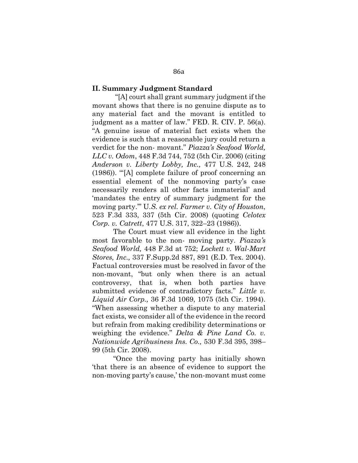#### **II. Summary Judgment Standard**

"[A] court shall grant summary judgment if the movant shows that there is no genuine dispute as to any material fact and the movant is entitled to judgment as a matter of law." FED. R. CIV. P. 56(a). "A genuine issue of material fact exists when the evidence is such that a reasonable jury could return a verdict for the non- movant." *Piazza's Seafood World, LLC v. Odom*, 448 F.3d 744, 752 (5th Cir. 2006) (citing *Anderson v. Liberty Lobby, Inc.,* 477 U.S. 242, 248 (1986)). "'[A] complete failure of proof concerning an essential element of the nonmoving party's case necessarily renders all other facts immaterial' and 'mandates the entry of summary judgment for the moving party.'" U*.S. ex rel. Farmer v. City of Houston*, 523 F.3d 333, 337 (5th Cir. 2008) (quoting *Celotex Corp. v. Catrett*, 477 U.S. 317, 322–23 (1986)).

The Court must view all evidence in the light most favorable to the non- moving party. *Piazza's Seafood World,* 448 F.3d at 752; *Lockett v. Wal-Mart Stores, Inc.,* 337 F.Supp.2d 887, 891 (E.D. Tex. 2004). Factual controversies must be resolved in favor of the non-movant, "but only when there is an actual controversy, that is, when both parties have submitted evidence of contradictory facts." *Little v. Liquid Air Corp.,* 36 F.3d 1069, 1075 (5th Cir. 1994). "When assessing whether a dispute to any material fact exists, we consider all of the evidence in the record but refrain from making credibility determinations or weighing the evidence." *Delta & Pine Land Co. v. Nationwide Agribusiness Ins. Co.,* 530 F.3d 395, 398– 99 (5th Cir. 2008).

"Once the moving party has initially shown 'that there is an absence of evidence to support the non-moving party's cause,' the non-movant must come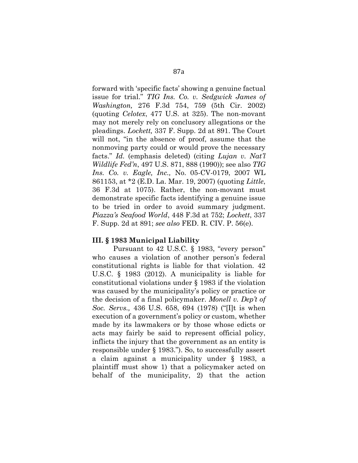forward with 'specific facts' showing a genuine factual issue for trial." *TIG Ins. Co. v. Sedgwick James of Washington,* 276 F.3d 754, 759 (5th Cir. 2002) (quoting *Celotex*, 477 U.S. at 325). The non-movant may not merely rely on conclusory allegations or the pleadings. *Lockett,* 337 F. Supp. 2d at 891. The Court will not, "in the absence of proof, assume that the nonmoving party could or would prove the necessary facts." *Id.* (emphasis deleted) (citing *Lujan v. Nat'l Wildlife Fed'n*, 497 U.S. 871, 888 (1990)); see also *TIG Ins. Co. v. Eagle, Inc.,* No. 05-CV-0179, 2007 WL 861153, at \*2 (E.D. La. Mar. 19, 2007) (quoting *Little*, 36 F.3d at 1075). Rather, the non-movant must demonstrate specific facts identifying a genuine issue to be tried in order to avoid summary judgment. *Piazza's Seafood World*, 448 F.3d at 752; *Lockett*, 337 F. Supp. 2d at 891; *see also* FED. R. CIV. P. 56(e).

#### **III. § 1983 Municipal Liability**

Pursuant to 42 U.S.C. § 1983, "every person" who causes a violation of another person's federal constitutional rights is liable for that violation. 42 U.S.C. § 1983 (2012). A municipality is liable for constitutional violations under § 1983 if the violation was caused by the municipality's policy or practice or the decision of a final policymaker. *Monell v. Dep't of Soc. Servs.,* 436 U.S. 658, 694 (1978) ("[I]t is when execution of a government's policy or custom, whether made by its lawmakers or by those whose edicts or acts may fairly be said to represent official policy, inflicts the injury that the government as an entity is responsible under § 1983."). So, to successfully assert a claim against a municipality under § 1983, a plaintiff must show 1) that a policymaker acted on behalf of the municipality, 2) that the action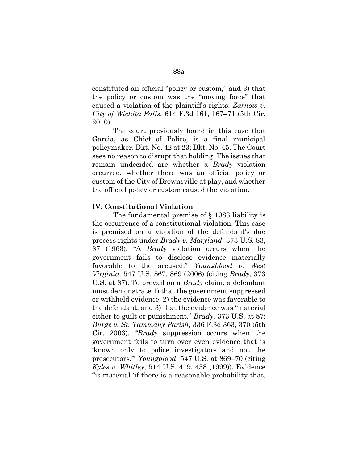constituted an official "policy or custom," and 3) that the policy or custom was the "moving force" that caused a violation of the plaintiff's rights. *Zarnow v. City of Wichita Falls*, 614 F.3d 161, 167–71 (5th Cir. 2010).

The court previously found in this case that Garcia, as Chief of Police, is a final municipal policymaker. Dkt. No. 42 at 23; Dkt. No. 45. The Court sees no reason to disrupt that holding. The issues that remain undecided are whether a *Brady* violation occurred, whether there was an official policy or custom of the City of Brownsville at play, and whether the official policy or custom caused the violation.

# **IV. Constitutional Violation**

The fundamental premise of § 1983 liability is the occurrence of a constitutional violation. This case is premised on a violation of the defendant's due process rights under *Brady v. Maryland*. 373 U.S. 83, 87 (1963). "A *Brady* violation occurs when the government fails to disclose evidence materially favorable to the accused." *Youngblood v. West Virginia,* 547 U.S. 867, 869 (2006) (citing *Brady*, 373 U.S. at 87). To prevail on a *Brady* claim, a defendant must demonstrate 1) that the government suppressed or withheld evidence, 2) the evidence was favorable to the defendant, and 3) that the evidence was "material either to guilt or punishment." *Brady,* 373 U.S. at 87; *Burge v. St. Tammany Parish*, 336 F.3d 363, 370 (5th Cir. 2003). *"Brady* suppression occurs when the government fails to turn over even evidence that is 'known only to police investigators and not the prosecutors.'" *Youngblood*, 547 U.S. at 869–70 (citing *Kyles v. Whitley*, 514 U.S. 419, 438 (1999)). Evidence "is material 'if there is a reasonable probability that,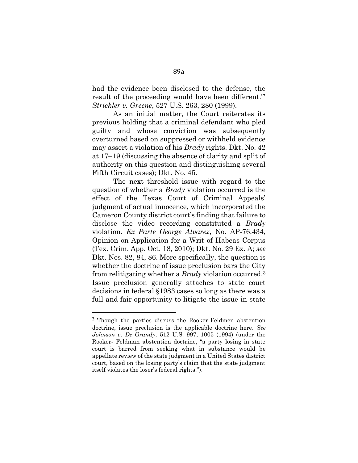had the evidence been disclosed to the defense, the result of the proceeding would have been different." *Strickler v. Greene*, 527 U.S. 263, 280 (1999).

As an initial matter, the Court reiterates its previous holding that a criminal defendant who pled guilty and whose conviction was subsequently overturned based on suppressed or withheld evidence may assert a violation of his *Brady* rights. Dkt. No. 42 at 17–19 (discussing the absence of clarity and split of authority on this question and distinguishing several Fifth Circuit cases); Dkt. No. 45.

The next threshold issue with regard to the question of whether a *Brady* violation occurred is the effect of the Texas Court of Criminal Appeals' judgment of actual innocence, which incorporated the Cameron County district court's finding that failure to disclose the video recording constituted a *Brady* violation. *Ex Parte George Alvarez*, No. AP-76,434, Opinion on Application for a Writ of Habeas Corpus (Tex. Crim. App. Oct. 18, 2010); Dkt. No. 29 Ex. A; *see* Dkt. Nos. 82, 84, 86. More specifically, the question is whether the doctrine of issue preclusion bars the City from relitigating whether a *Brady* violation occurred.<sup>3</sup> Issue preclusion generally attaches to state court decisions in federal §1983 cases so long as there was a full and fair opportunity to litigate the issue in state

<sup>3</sup> Though the parties discuss the Rooker-Feldmen abstention doctrine, issue preclusion is the applicable doctrine here. *See Johnson v. De Grandy,* 512 U.S. 997, 1005 (1994) (under the Rooker- Feldman abstention doctrine, "a party losing in state court is barred from seeking what in substance would be appellate review of the state judgment in a United States district court, based on the losing party's claim that the state judgment itself violates the loser's federal rights.").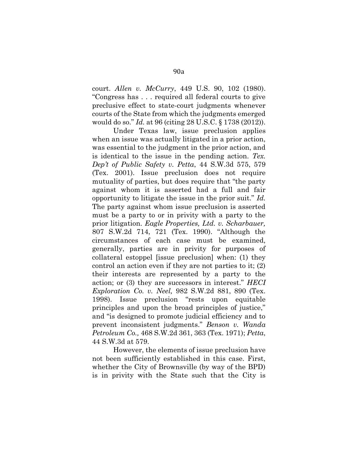court. *Allen v. McCurry*, 449 U.S. 90, 102 (1980). "Congress has . . . required all federal courts to give preclusive effect to state-court judgments whenever courts of the State from which the judgments emerged would do so." *Id.* at 96 (citing 28 U.S.C. § 1738 (2012)).

Under Texas law, issue preclusion applies when an issue was actually litigated in a prior action, was essential to the judgment in the prior action, and is identical to the issue in the pending action. *Tex. Dep't of Public Safety v. Petta*, 44 S.W.3d 575, 579 (Tex. 2001). Issue preclusion does not require mutuality of parties, but does require that "the party against whom it is asserted had a full and fair opportunity to litigate the issue in the prior suit." *Id.* The party against whom issue preclusion is asserted must be a party to or in privity with a party to the prior litigation. *Eagle Properties, Ltd. v. Scharbauer,* 807 S.W.2d 714, 721 (Tex. 1990). "Although the circumstances of each case must be examined, generally, parties are in privity for purposes of collateral estoppel [issue preclusion] when: (1) they control an action even if they are not parties to it; (2) their interests are represented by a party to the action; or (3) they are successors in interest." *HECI Exploration Co. v. Neel,* 982 S.W.2d 881, 890 (Tex. 1998). Issue preclusion "rests upon equitable principles and upon the broad principles of justice," and "is designed to promote judicial efficiency and to prevent inconsistent judgments." *Benson v. Wanda Petroleum Co.,* 468 S.W.2d 361, 363 (Tex. 1971); *Petta*, 44 S.W.3d at 579.

However, the elements of issue preclusion have not been sufficiently established in this case. First, whether the City of Brownsville (by way of the BPD) is in privity with the State such that the City is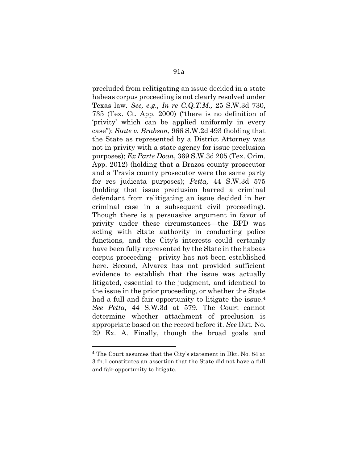precluded from relitigating an issue decided in a state habeas corpus proceeding is not clearly resolved under Texas law. *See, e.g., In re C.Q.T.M.,* 25 S.W.3d 730, 735 (Tex. Ct. App. 2000) ("there is no definition of 'privity' which can be applied uniformly in every case"); *State v. Brabson*, 966 S.W.2d 493 (holding that the State as represented by a District Attorney was not in privity with a state agency for issue preclusion purposes); *Ex Parte Doan*, 369 S.W.3d 205 (Tex. Crim. App. 2012) (holding that a Brazos county prosecutor and a Travis county prosecutor were the same party for res judicata purposes); *Petta,* 44 S.W.3d 575 (holding that issue preclusion barred a criminal defendant from relitigating an issue decided in her criminal case in a subsequent civil proceeding). Though there is a persuasive argument in favor of privity under these circumstances—the BPD was acting with State authority in conducting police functions, and the City's interests could certainly have been fully represented by the State in the habeas corpus proceeding—privity has not been established here. Second, Alvarez has not provided sufficient evidence to establish that the issue was actually litigated, essential to the judgment, and identical to the issue in the prior proceeding, or whether the State had a full and fair opportunity to litigate the issue.<sup>4</sup> *See Petta,* 44 S.W.3d at 579. The Court cannot determine whether attachment of preclusion is appropriate based on the record before it. *See* Dkt. No. 29 Ex. A. Finally, though the broad goals and

<sup>4</sup> The Court assumes that the City's statement in Dkt. No. 84 at 3 fn.1 constitutes an assertion that the State did not have a full and fair opportunity to litigate.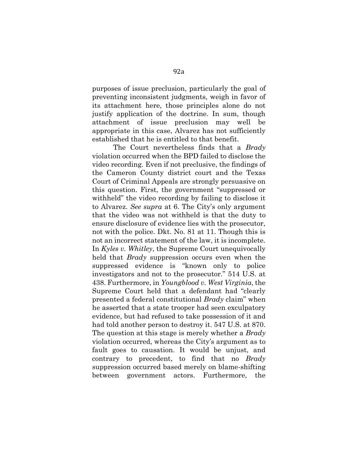purposes of issue preclusion, particularly the goal of preventing inconsistent judgments, weigh in favor of its attachment here, those principles alone do not justify application of the doctrine. In sum, though attachment of issue preclusion may well be appropriate in this case, Alvarez has not sufficiently established that he is entitled to that benefit.

The Court nevertheless finds that a *Brady* violation occurred when the BPD failed to disclose the video recording. Even if not preclusive, the findings of the Cameron County district court and the Texas Court of Criminal Appeals are strongly persuasive on this question. First, the government "suppressed or withheld" the video recording by failing to disclose it to Alvarez. *See supra* at 6. The City's only argument that the video was not withheld is that the duty to ensure disclosure of evidence lies with the prosecutor, not with the police. Dkt. No. 81 at 11. Though this is not an incorrect statement of the law, it is incomplete. In *Kyles v. Whitley*, the Supreme Court unequivocally held that *Brady* suppression occurs even when the suppressed evidence is "known only to police investigators and not to the prosecutor." 514 U.S. at 438. Furthermore, in *Youngblood v. West Virginia*, the Supreme Court held that a defendant had "clearly presented a federal constitutional *Brady* claim" when he asserted that a state trooper had seen exculpatory evidence, but had refused to take possession of it and had told another person to destroy it. 547 U.S. at 870. The question at this stage is merely whether a *Brady*  violation occurred, whereas the City's argument as to fault goes to causation. It would be unjust, and contrary to precedent, to find that no *Brady* suppression occurred based merely on blame-shifting between government actors. Furthermore, the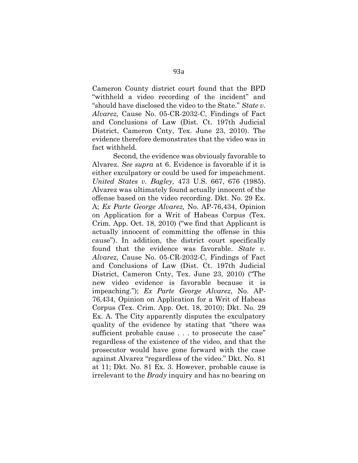Cameron County district court found that the BPD "withheld a video recording of the incident" and "should have disclosed the video to the State." *State v. Alvarez,* Cause No. 05-CR-2032-C, Findings of Fact and Conclusions of Law (Dist. Ct. 197th Judicial District, Cameron Cnty, Tex. June 23, 2010). The evidence therefore demonstrates that the video was in fact withheld.

Second, the evidence was obviously favorable to Alvarez. *See supra* at 6. Evidence is favorable if it is either exculpatory or could be used for impeachment. *United States v. Bagley,* 473 U.S. 667, 676 (1985). Alvarez was ultimately found actually innocent of the offense based on the video recording. Dkt. No. 29 Ex. A; *Ex Parte George Alvarez,* No. AP-76,434, Opinion on Application for a Writ of Habeas Corpus (Tex. Crim. App. Oct. 18, 2010) ("we find that Applicant is actually innocent of committing the offense in this cause"). In addition, the district court specifically found that the evidence was favorable. *State v. Alvarez,* Cause No. 05-CR-2032-C, Findings of Fact and Conclusions of Law (Dist. Ct. 197th Judicial District, Cameron Cnty, Tex. June 23, 2010) ("The new video evidence is favorable because it is impeaching."); *Ex Parte George Alvarez*, No. AP-76,434, Opinion on Application for a Writ of Habeas Corpus (Tex. Crim. App. Oct. 18, 2010); Dkt. No. 29 Ex. A. The City apparently disputes the exculpatory quality of the evidence by stating that "there was sufficient probable cause . . . to prosecute the case" regardless of the existence of the video, and that the prosecutor would have gone forward with the case against Alvarez "regardless of the video." Dkt. No. 81 at 11; Dkt. No. 81 Ex. 3. However, probable cause is irrelevant to the *Brady* inquiry and has no bearing on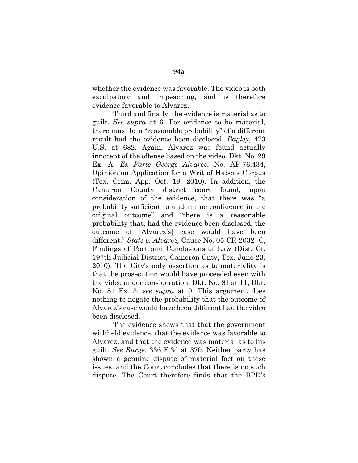whether the evidence was favorable. The video is both exculpatory and impeaching, and is therefore evidence favorable to Alvarez.

Third and finally, the evidence is material as to guilt. *See supra* at 6. For evidence to be material, there must be a "reasonable probability" of a different result had the evidence been disclosed. *Bagley*, 473 U.S. at 682. Again, Alvarez was found actually innocent of the offense based on the video. Dkt. No. 29 Ex. A; *Ex Parte George Alvarez*, No. AP-76,434, Opinion on Application for a Writ of Habeas Corpus (Tex. Crim. App. Oct. 18, 2010). In addition, the Cameron County district court found, upon consideration of the evidence, that there was "a probability sufficient to undermine confidence in the original outcome" and "there is a reasonable probability that, had the evidence been disclosed, the outcome of [Alvarez's] case would have been different." *State v. Alvarez,* Cause No. 05-CR-2032- C, Findings of Fact and Conclusions of Law (Dist. Ct. 197th Judicial District, Cameron Cnty, Tex. June 23, 2010). The City's only assertion as to materiality is that the prosecution would have proceeded even with the video under consideration. Dkt. No. 81 at 11; Dkt. No. 81 Ex. 3; *see supra* at 9. This argument does nothing to negate the probability that the outcome of Alvarez's case would have been different had the video been disclosed.

The evidence shows that that the government withheld evidence, that the evidence was favorable to Alvarez, and that the evidence was material as to his guilt. *See Burge*, 336 F.3d at 370. Neither party has shown a genuine dispute of material fact on these issues, and the Court concludes that there is no such dispute. The Court therefore finds that the BPD's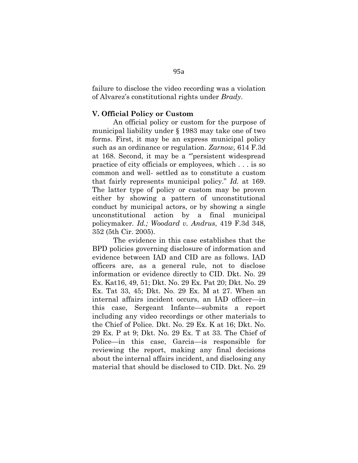failure to disclose the video recording was a violation of Alvarez's constitutional rights under *Brady*.

# **V. Official Policy or Custom**

An official policy or custom for the purpose of municipal liability under § 1983 may take one of two forms. First, it may be an express municipal policy such as an ordinance or regulation. *Zarnow,* 614 F.3d at 168. Second, it may be a "'persistent widespread practice of city officials or employees, which . . . is so common and well- settled as to constitute a custom that fairly represents municipal policy." *Id.* at 169. The latter type of policy or custom may be proven either by showing a pattern of unconstitutional conduct by municipal actors, or by showing a single unconstitutional action by a final municipal policymaker. *Id.; Woodard v. Andrus*, 419 F.3d 348, 352 (5th Cir. 2005).

The evidence in this case establishes that the BPD policies governing disclosure of information and evidence between IAD and CID are as follows. IAD officers are, as a general rule, not to disclose information or evidence directly to CID. Dkt. No. 29 Ex. Kat16, 49, 51; Dkt. No. 29 Ex. Pat 20; Dkt. No. 29 Ex. Tat 33, 45; Dkt. No. 29 Ex. M at 27. When an internal affairs incident occurs, an IAD officer—in this case, Sergeant Infante—submits a report including any video recordings or other materials to the Chief of Police. Dkt. No. 29 Ex. K at 16; Dkt. No. 29 Ex. P at 9; Dkt. No. 29 Ex. T at 33. The Chief of Police—in this case, Garcia—is responsible for reviewing the report, making any final decisions about the internal affairs incident, and disclosing any material that should be disclosed to CID. Dkt. No. 29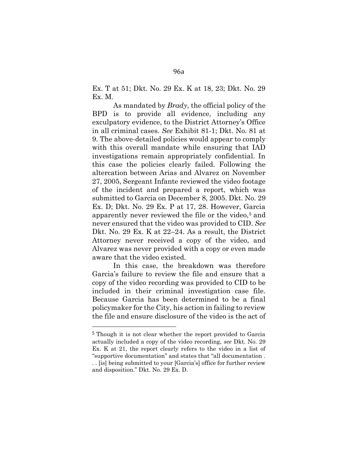Ex. T at 51; Dkt. No. 29 Ex. K at 18, 23; Dkt. No. 29 Ex. M.

As mandated by *Brady*, the official policy of the BPD is to provide all evidence, including any exculpatory evidence, to the District Attorney's Office in all criminal cases. *See* Exhibit 81-1; Dkt. No. 81 at 9. The above-detailed policies would appear to comply with this overall mandate while ensuring that IAD investigations remain appropriately confidential. In this case the policies clearly failed. Following the altercation between Arias and Alvarez on November 27, 2005, Sergeant Infante reviewed the video footage of the incident and prepared a report, which was submitted to Garcia on December 8, 2005. Dkt. No. 29 Ex. D; Dkt. No. 29 Ex. P at 17, 28. However, Garcia apparently never reviewed the file or the video,<sup>5</sup> and never ensured that the video was provided to CID. *See* Dkt. No. 29 Ex. K at 22–24. As a result, the District Attorney never received a copy of the video, and Alvarez was never provided with a copy or even made aware that the video existed.

In this case, the breakdown was therefore Garcia's failure to review the file and ensure that a copy of the video recording was provided to CID to be included in their criminal investigation case file. Because Garcia has been determined to be a final policymaker for the City, his action in failing to review the file and ensure disclosure of the video is the act of

<sup>5</sup> Though it is not clear whether the report provided to Garcia actually included a copy of the video recording, *see* Dkt. No. 29 Ex. K at 21, the report clearly refers to the video in a list of "supportive documentation" and states that "all documentation . . . [is] being submitted to your [Garcia's] office for further review and disposition." Dkt. No. 29 Ex. D.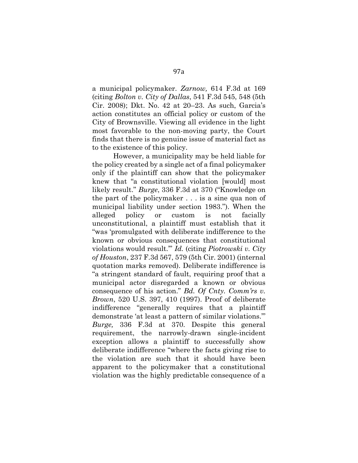a municipal policymaker. *Zarnow,* 614 F.3d at 169 (citing *Bolton v. City of Dallas*, 541 F.3d 545, 548 (5th Cir. 2008); Dkt. No. 42 at 20–23. As such, Garcia's action constitutes an official policy or custom of the City of Brownsville. Viewing all evidence in the light most favorable to the non-moving party, the Court finds that there is no genuine issue of material fact as to the existence of this policy.

However, a municipality may be held liable for the policy created by a single act of a final policymaker only if the plaintiff can show that the policymaker knew that "a constitutional violation [would] most likely result." *Burge*, 336 F.3d at 370 ("Knowledge on the part of the policymaker . . . is a sine qua non of municipal liability under section 1983."). When the alleged policy or custom is not facially unconstitutional, a plaintiff must establish that it "was 'promulgated with deliberate indifference to the known or obvious consequences that constitutional violations would result.'" *Id.* (citing *Piotrowski v. City of Houston*, 237 F.3d 567, 579 (5th Cir. 2001) (internal quotation marks removed). Deliberate indifference is "a stringent standard of fault, requiring proof that a municipal actor disregarded a known or obvious consequence of his action." *Bd. Of Cnty. Comm'rs v. Brown*, 520 U.S. 397, 410 (1997). Proof of deliberate indifference "generally requires that a plaintiff demonstrate 'at least a pattern of similar violations.'" *Burge,* 336 F.3d at 370. Despite this general requirement, the narrowly-drawn single-incident exception allows a plaintiff to successfully show deliberate indifference "where the facts giving rise to the violation are such that it should have been apparent to the policymaker that a constitutional violation was the highly predictable consequence of a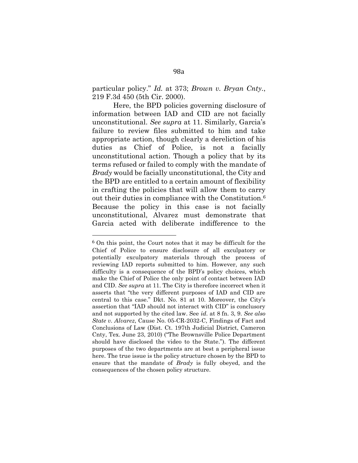particular policy." *Id.* at 373; *Brown v. Bryan Cnty.*, 219 F.3d 450 (5th Cir. 2000).

Here, the BPD policies governing disclosure of information between IAD and CID are not facially unconstitutional. *See supra* at 11. Similarly, Garcia's failure to review files submitted to him and take appropriate action, though clearly a dereliction of his duties as Chief of Police, is not a facially unconstitutional action. Though a policy that by its terms refused or failed to comply with the mandate of *Brady* would be facially unconstitutional, the City and the BPD are entitled to a certain amount of flexibility in crafting the policies that will allow them to carry out their duties in compliance with the Constitution.<sup>6</sup> Because the policy in this case is not facially unconstitutional, Alvarez must demonstrate that Garcia acted with deliberate indifference to the

<sup>6</sup> On this point, the Court notes that it may be difficult for the Chief of Police to ensure disclosure of all exculpatory or potentially exculpatory materials through the process of reviewing IAD reports submitted to him. However, any such difficulty is a consequence of the BPD's policy choices, which make the Chief of Police the only point of contact between IAD and CID. *See supra* at 11. The City is therefore incorrect when it asserts that "the very different purposes of IAD and CID are central to this case." Dkt. No. 81 at 10. Moreover, the City's assertion that "IAD should not interact with CID" is conclusory and not supported by the cited law. See *id.* at 8 fn. 3, 9. *See also State v. Alvarez*, Cause No. 05-CR-2032-C, Findings of Fact and Conclusions of Law (Dist. Ct. 197th Judicial District, Cameron Cnty, Tex. June 23, 2010) ("The Brownsville Police Department should have disclosed the video to the State."). The different purposes of the two departments are at best a peripheral issue here. The true issue is the policy structure chosen by the BPD to ensure that the mandate of *Brady* is fully obeyed, and the consequences of the chosen policy structure.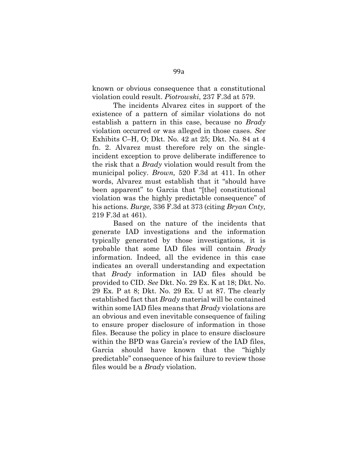known or obvious consequence that a constitutional violation could result. *Piotrowski*, 237 F.3d at 579.

The incidents Alvarez cites in support of the existence of a pattern of similar violations do not establish a pattern in this case, because no *Brady*  violation occurred or was alleged in those cases. *See* Exhibits C–H, O; Dkt. No. 42 at 25; Dkt. No. 84 at 4 fn. 2. Alvarez must therefore rely on the singleincident exception to prove deliberate indifference to the risk that a *Brady* violation would result from the municipal policy*. Brown,* 520 F.3d at 411. In other words, Alvarez must establish that it "should have been apparent" to Garcia that "[the] constitutional violation was the highly predictable consequence" of his actions. *Burge,* 336 F.3d at 373 (citing *Bryan Cnty,*  219 F.3d at 461).

Based on the nature of the incidents that generate IAD investigations and the information typically generated by those investigations, it is probable that some IAD files will contain *Brady* information. Indeed, all the evidence in this case indicates an overall understanding and expectation that *Brady* information in IAD files should be provided to CID. *See* Dkt. No. 29 Ex. K at 18; Dkt. No. 29 Ex. P at 8; Dkt. No. 29 Ex. U at 87. The clearly established fact that *Brady* material will be contained within some IAD files means that *Brady* violations are an obvious and even inevitable consequence of failing to ensure proper disclosure of information in those files. Because the policy in place to ensure disclosure within the BPD was Garcia's review of the IAD files, Garcia should have known that the "highly predictable" consequence of his failure to review those files would be a *Brady* violation.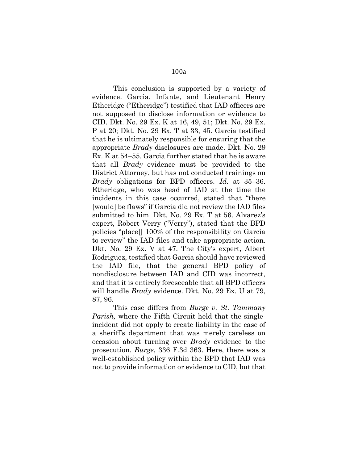This conclusion is supported by a variety of evidence. Garcia, Infante, and Lieutenant Henry Etheridge ("Etheridge") testified that IAD officers are not supposed to disclose information or evidence to CID. Dkt. No. 29 Ex. K at 16, 49, 51; Dkt. No. 29 Ex. P at 20; Dkt. No. 29 Ex. T at 33, 45. Garcia testified that he is ultimately responsible for ensuring that the appropriate *Brady* disclosures are made. Dkt. No. 29 Ex. K at 54–55. Garcia further stated that he is aware that all *Brady* evidence must be provided to the District Attorney, but has not conducted trainings on *Brady* obligations for BPD officers. *Id*. at 35–36. Etheridge, who was head of IAD at the time the incidents in this case occurred, stated that "there [would] be flaws" if Garcia did not review the IAD files submitted to him. Dkt. No. 29 Ex. T at 56. Alvarez's expert, Robert Verry ("Verry"), stated that the BPD policies "place[] 100% of the responsibility on Garcia to review" the IAD files and take appropriate action. Dkt. No. 29 Ex. V at 47. The City's expert, Albert Rodriguez, testified that Garcia should have reviewed the IAD file, that the general BPD policy of nondisclosure between IAD and CID was incorrect, and that it is entirely foreseeable that all BPD officers will handle *Brady* evidence. Dkt. No. 29 Ex. U at 79, 87, 96.

This case differs from *Burge v. St. Tammany Parish,* where the Fifth Circuit held that the singleincident did not apply to create liability in the case of a sheriff's department that was merely careless on occasion about turning over *Brady* evidence to the prosecution. *Burge*, 336 F.3d 363. Here, there was a well-established policy within the BPD that IAD was not to provide information or evidence to CID, but that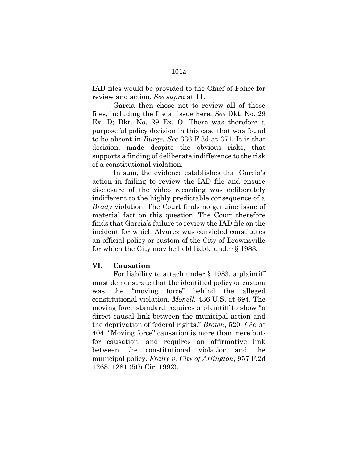IAD files would be provided to the Chief of Police for review and action. *See supra* at 11.

Garcia then chose not to review all of those files, including the file at issue here. *See* Dkt. No. 29 Ex. D; Dkt. No. 29 Ex. O. There was therefore a purposeful policy decision in this case that was found to be absent in *Burge. See* 336 F.3d at 371. It is that decision, made despite the obvious risks, that supports a finding of deliberate indifference to the risk of a constitutional violation.

In sum, the evidence establishes that Garcia's action in failing to review the IAD file and ensure disclosure of the video recording was deliberately indifferent to the highly predictable consequence of a *Brady* violation. The Court finds no genuine issue of material fact on this question. The Court therefore finds that Garcia's failure to review the IAD file on the incident for which Alvarez was convicted constitutes an official policy or custom of the City of Brownsville for which the City may be held liable under § 1983.

# **VI. Causation**

For liability to attach under § 1983, a plaintiff must demonstrate that the identified policy or custom was the "moving force" behind the alleged constitutional violation. *Monell,* 436 U.S. at 694. The moving force standard requires a plaintiff to show "a direct causal link between the municipal action and the deprivation of federal rights." *Brown*, 520 F.3d at 404. "Moving force" causation is more than mere butfor causation, and requires an affirmative link between the constitutional violation and the municipal policy. *Fraire v. City of Arlington*, 957 F.2d 1268, 1281 (5th Cir. 1992).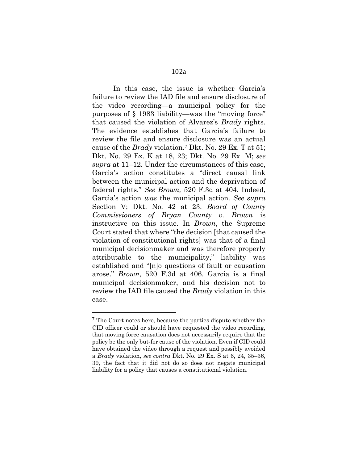In this case, the issue is whether Garcia's failure to review the IAD file and ensure disclosure of the video recording—a municipal policy for the purposes of § 1983 liability—was the "moving force" that caused the violation of Alvarez's *Brady* rights. The evidence establishes that Garcia's failure to review the file and ensure disclosure was an actual cause of the *Brady* violation.<sup>7</sup> Dkt. No. 29 Ex. T at 51; Dkt. No. 29 Ex. K at 18, 23; Dkt. No. 29 Ex. M; *see supra* at 11–12. Under the circumstances of this case, Garcia's action constitutes a "direct causal link between the municipal action and the deprivation of federal rights." *See Brown,* 520 F.3d at 404. Indeed, Garcia's action *was* the municipal action. *See supra* Section V; Dkt. No. 42 at 23. *Board of County Commissioners of Bryan County v. Brown* is instructive on this issue. In *Brown*, the Supreme Court stated that where "the decision [that caused the violation of constitutional rights] was that of a final municipal decisionmaker and was therefore properly attributable to the municipality," liability was established and "[n]o questions of fault or causation arose." *Brown*, 520 F.3d at 406. Garcia is a final municipal decisionmaker, and his decision not to review the IAD file caused the *Brady* violation in this case.

<sup>7</sup> The Court notes here, because the parties dispute whether the CID officer could or should have requested the video recording, that moving force causation does not necessarily require that the policy be the only but-for cause of the violation. Even if CID could have obtained the video through a request and possibly avoided a *Brady* violation, *see contra* Dkt. No. 29 Ex. S at 6, 24, 35–36, 39, the fact that it did not do so does not negate municipal liability for a policy that causes a constitutional violation.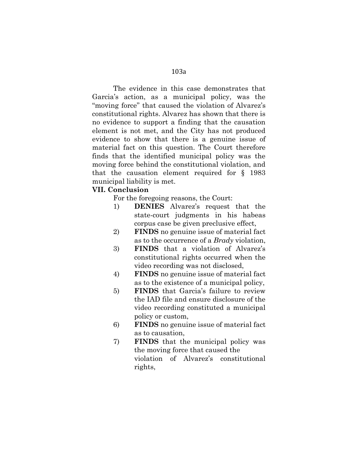# 103a

The evidence in this case demonstrates that Garcia's action, as a municipal policy, was the "moving force" that caused the violation of Alvarez's constitutional rights. Alvarez has shown that there is no evidence to support a finding that the causation element is not met, and the City has not produced evidence to show that there is a genuine issue of material fact on this question. The Court therefore finds that the identified municipal policy was the moving force behind the constitutional violation, and that the causation element required for § 1983 municipal liability is met.

# **VII. Conclusion**

For the foregoing reasons, the Court:

- 1) **DENIES** Alvarez's request that the state-court judgments in his habeas corpus case be given preclusive effect,
- 2) **FINDS** no genuine issue of material fact as to the occurrence of a *Brady* violation,
- 3) **FINDS** that a violation of Alvarez's constitutional rights occurred when the video recording was not disclosed,
- 4) **FINDS** no genuine issue of material fact as to the existence of a municipal policy,
- 5) **FINDS** that Garcia's failure to review the IAD file and ensure disclosure of the video recording constituted a municipal policy or custom,
- 6) **FINDS** no genuine issue of material fact as to causation,
- 7) **FINDS** that the municipal policy was the moving force that caused the violation of Alvarez's constitutional rights,